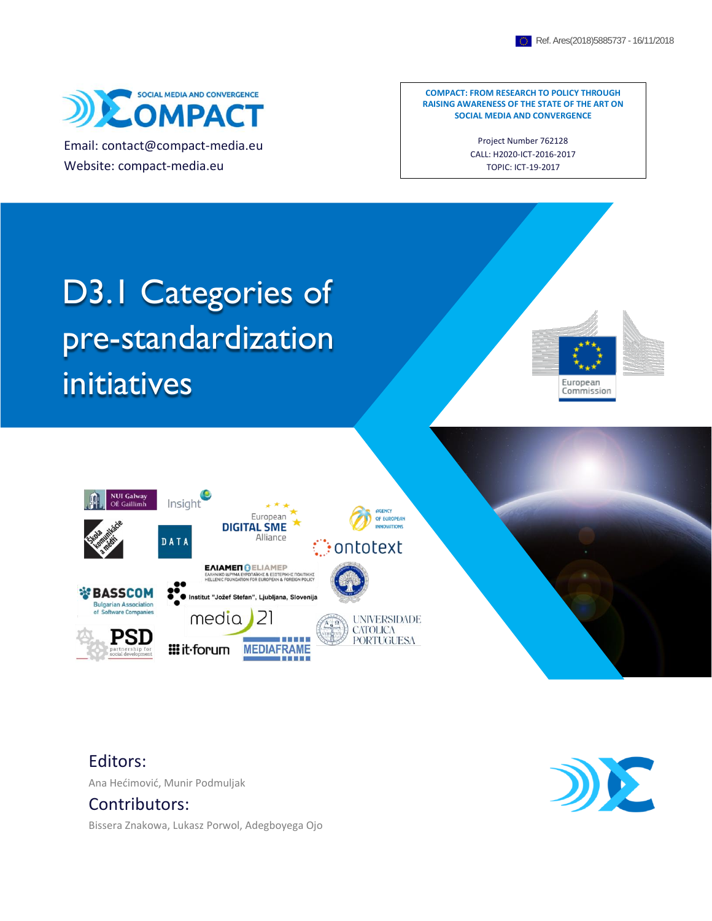

Email: contact@compact-media.eu Website: compact-media.eu

**COMPACT: FROM RESEARCH TO POLICY THROUGH RAISING AWARENESS OF THE STATE OF THE ART ON SOCIAL MEDIA AND CONVERGENCE**

> Project Number 762128 CALL: H2020-ICT-2016-2017 TOPIC: ICT-19-2017

# D3.1 Categories of pre-standardization initiatives





Editors:

Ana Hećimović, Munir Podmuljak

#### Contributors:

Bissera Znakowa, Lukasz Porwol, Adegboyega Ojo

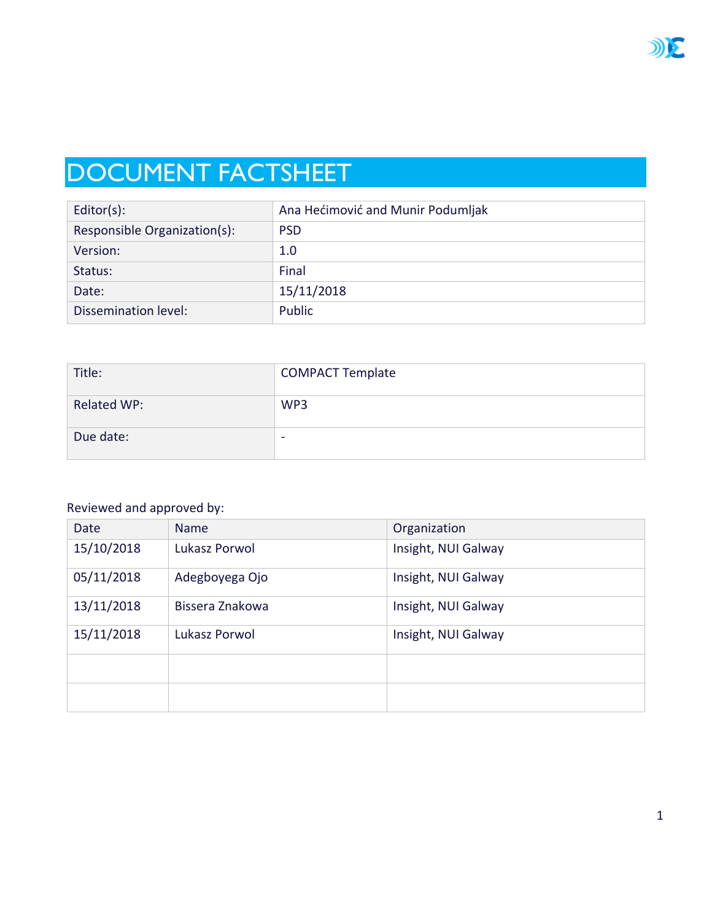

## DOCUMENT FACTSHEET

| $Editor(s)$ :                | Ana Hećimović and Munir Podumljak |
|------------------------------|-----------------------------------|
| Responsible Organization(s): | <b>PSD</b>                        |
| Version:                     | 1.0                               |
| Status:                      | Final                             |
| Date:                        | 15/11/2018                        |
| Dissemination level:         | Public                            |

| Title:             | <b>COMPACT Template</b> |
|--------------------|-------------------------|
| <b>Related WP:</b> | WP3                     |
| Due date:          | -                       |

#### Reviewed and approved by:

| Date       | <b>Name</b>     | Organization        |
|------------|-----------------|---------------------|
| 15/10/2018 | Lukasz Porwol   | Insight, NUI Galway |
| 05/11/2018 | Adegboyega Ojo  | Insight, NUI Galway |
| 13/11/2018 | Bissera Znakowa | Insight, NUI Galway |
| 15/11/2018 | Lukasz Porwol   | Insight, NUI Galway |
|            |                 |                     |
|            |                 |                     |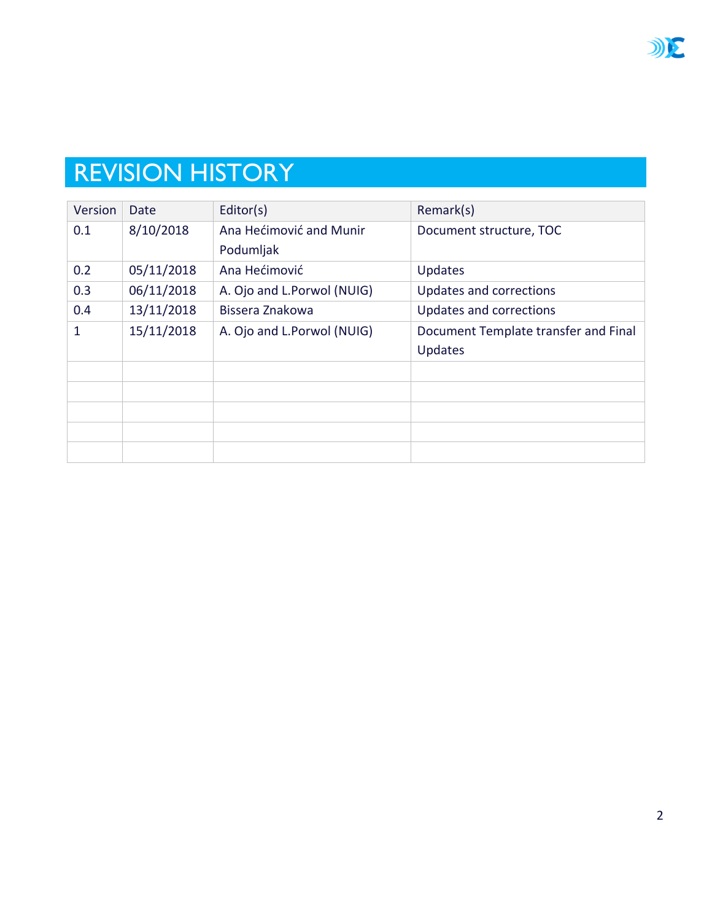

## REVISION HISTORY

| Version | Date       | Editor(s)                  | Remark(s)                            |
|---------|------------|----------------------------|--------------------------------------|
| 0.1     | 8/10/2018  | Ana Hećimović and Munir    | Document structure, TOC              |
|         |            | Podumljak                  |                                      |
| 0.2     | 05/11/2018 | Ana Hećimović              | Updates                              |
| 0.3     | 06/11/2018 | A. Ojo and L.Porwol (NUIG) | Updates and corrections              |
| 0.4     | 13/11/2018 | Bissera Znakowa            | Updates and corrections              |
| 1       | 15/11/2018 | A. Ojo and L.Porwol (NUIG) | Document Template transfer and Final |
|         |            |                            | Updates                              |
|         |            |                            |                                      |
|         |            |                            |                                      |
|         |            |                            |                                      |
|         |            |                            |                                      |
|         |            |                            |                                      |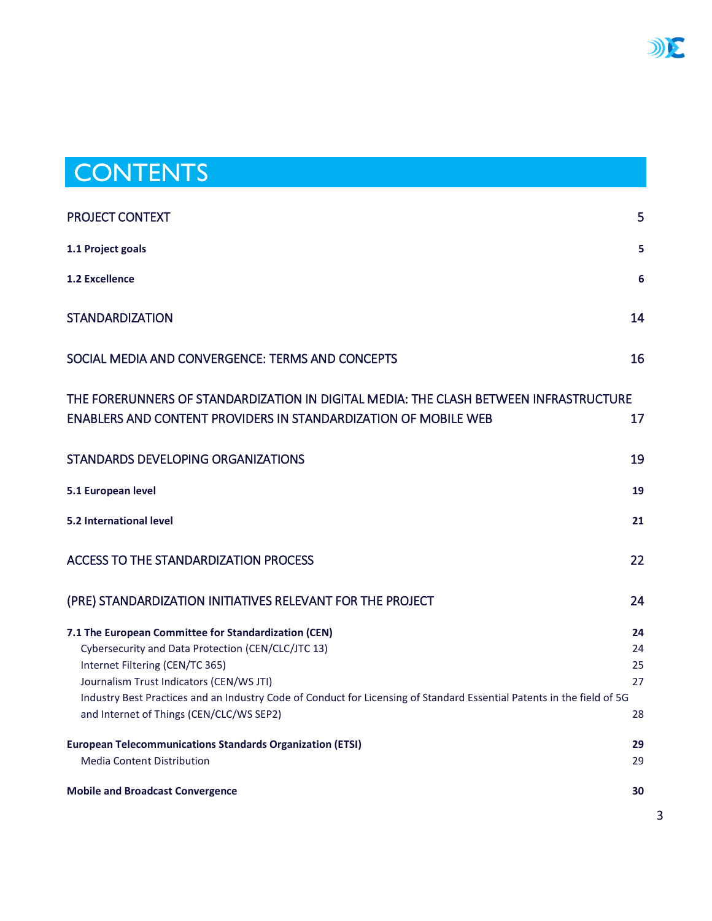## **CONTENTS**

| PROJECT CONTEXT                                                                                                                                                                                                                                                                                                                                                 | 5                          |
|-----------------------------------------------------------------------------------------------------------------------------------------------------------------------------------------------------------------------------------------------------------------------------------------------------------------------------------------------------------------|----------------------------|
| 1.1 Project goals                                                                                                                                                                                                                                                                                                                                               | 5                          |
| <b>1.2 Excellence</b>                                                                                                                                                                                                                                                                                                                                           | 6                          |
| <b>STANDARDIZATION</b>                                                                                                                                                                                                                                                                                                                                          | 14                         |
| SOCIAL MEDIA AND CONVERGENCE: TERMS AND CONCEPTS                                                                                                                                                                                                                                                                                                                | 16                         |
| THE FORERUNNERS OF STANDARDIZATION IN DIGITAL MEDIA: THE CLASH BETWEEN INFRASTRUCTURE<br>ENABLERS AND CONTENT PROVIDERS IN STANDARDIZATION OF MOBILE WEB                                                                                                                                                                                                        | 17                         |
| STANDARDS DEVELOPING ORGANIZATIONS                                                                                                                                                                                                                                                                                                                              | 19                         |
| 5.1 European level                                                                                                                                                                                                                                                                                                                                              | 19                         |
| 5.2 International level                                                                                                                                                                                                                                                                                                                                         | 21                         |
| <b>ACCESS TO THE STANDARDIZATION PROCESS</b>                                                                                                                                                                                                                                                                                                                    | 22                         |
| (PRE) STANDARDIZATION INITIATIVES RELEVANT FOR THE PROJECT                                                                                                                                                                                                                                                                                                      | 24                         |
| 7.1 The European Committee for Standardization (CEN)<br>Cybersecurity and Data Protection (CEN/CLC/JTC 13)<br>Internet Filtering (CEN/TC 365)<br>Journalism Trust Indicators (CEN/WS JTI)<br>Industry Best Practices and an Industry Code of Conduct for Licensing of Standard Essential Patents in the field of 5G<br>and Internet of Things (CEN/CLC/WS SEP2) | 24<br>24<br>25<br>27<br>28 |
| <b>European Telecommunications Standards Organization (ETSI)</b><br><b>Media Content Distribution</b>                                                                                                                                                                                                                                                           | 29<br>29                   |
| <b>Mobile and Broadcast Convergence</b>                                                                                                                                                                                                                                                                                                                         | 30                         |

DIE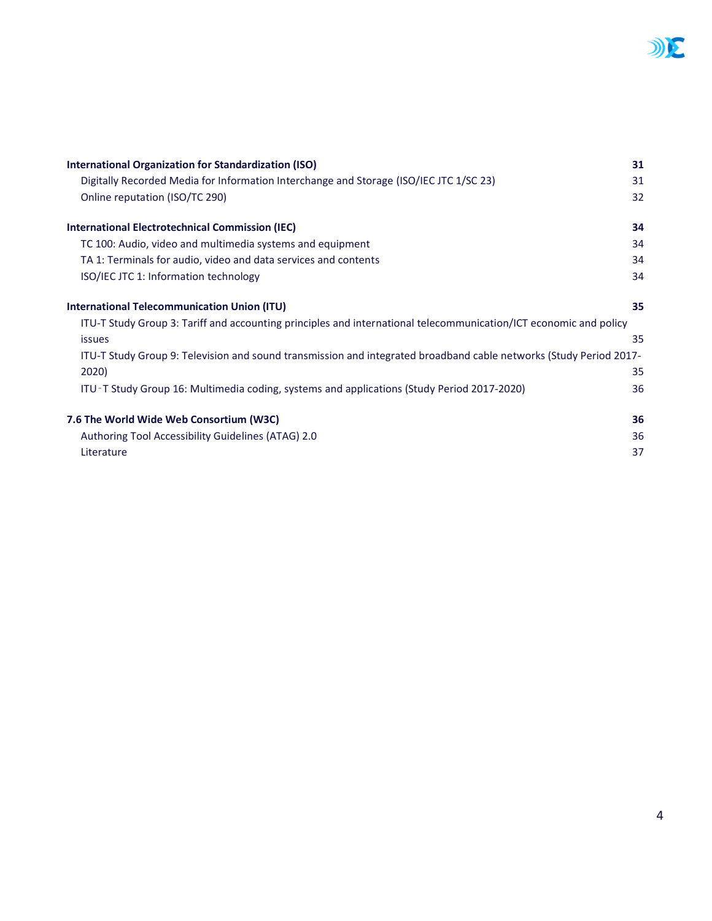

| <b>International Organization for Standardization (ISO)</b>                                                        | 31 |
|--------------------------------------------------------------------------------------------------------------------|----|
| Digitally Recorded Media for Information Interchange and Storage (ISO/IEC JTC 1/SC 23)                             | 31 |
| Online reputation (ISO/TC 290)                                                                                     | 32 |
| <b>International Electrotechnical Commission (IEC)</b>                                                             | 34 |
| TC 100: Audio, video and multimedia systems and equipment                                                          | 34 |
| TA 1: Terminals for audio, video and data services and contents                                                    | 34 |
| ISO/IEC JTC 1: Information technology                                                                              | 34 |
| <b>International Telecommunication Union (ITU)</b>                                                                 | 35 |
| ITU-T Study Group 3: Tariff and accounting principles and international telecommunication/ICT economic and policy  |    |
| <b>issues</b>                                                                                                      | 35 |
| ITU-T Study Group 9: Television and sound transmission and integrated broadband cable networks (Study Period 2017- |    |
| 2020)                                                                                                              | 35 |
| ITU-T Study Group 16: Multimedia coding, systems and applications (Study Period 2017-2020)                         | 36 |
| 7.6 The World Wide Web Consortium (W3C)                                                                            | 36 |
| Authoring Tool Accessibility Guidelines (ATAG) 2.0                                                                 | 36 |
| Literature                                                                                                         | 37 |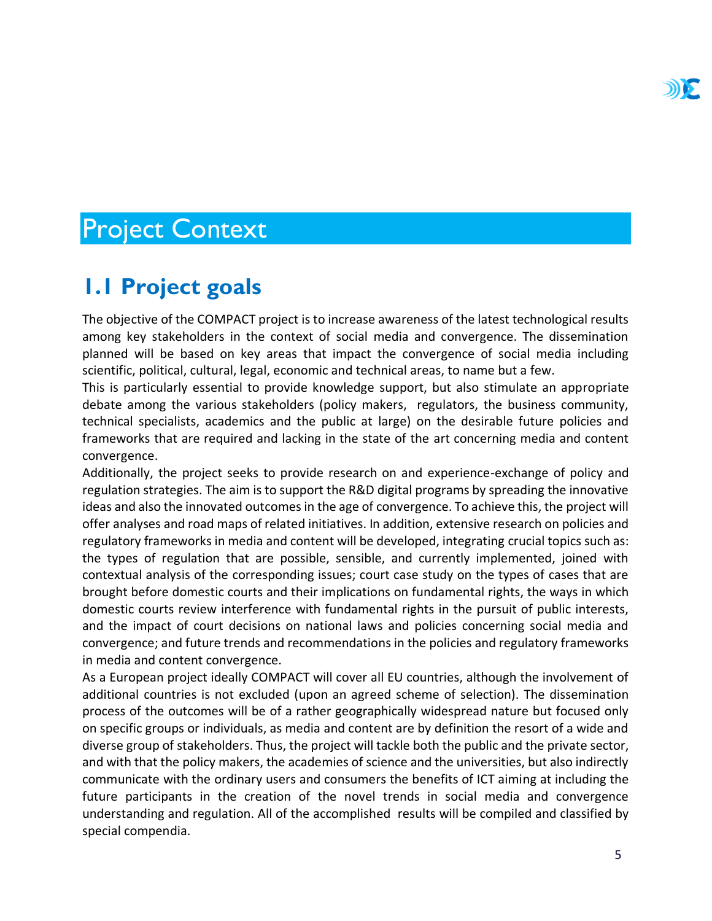## <span id="page-5-0"></span>Project Context

## <span id="page-5-1"></span>**1.1 Project goals**

The objective of the COMPACT project is to increase awareness of the latest technological results among key stakeholders in the context of social media and convergence. The dissemination planned will be based on key areas that impact the convergence of social media including scientific, political, cultural, legal, economic and technical areas, to name but a few.

This is particularly essential to provide knowledge support, but also stimulate an appropriate debate among the various stakeholders (policy makers, regulators, the business community, technical specialists, academics and the public at large) on the desirable future policies and frameworks that are required and lacking in the state of the art concerning media and content convergence.

Additionally, the project seeks to provide research on and experience-exchange of policy and regulation strategies. The aim is to support the R&D digital programs by spreading the innovative ideas and also the innovated outcomes in the age of convergence. To achieve this, the project will offer analyses and road maps of related initiatives. In addition, extensive research on policies and regulatory frameworks in media and content will be developed, integrating crucial topics such as: the types of regulation that are possible, sensible, and currently implemented, joined with contextual analysis of the corresponding issues; court case study on the types of cases that are brought before domestic courts and their implications on fundamental rights, the ways in which domestic courts review interference with fundamental rights in the pursuit of public interests, and the impact of court decisions on national laws and policies concerning social media and convergence; and future trends and recommendations in the policies and regulatory frameworks in media and content convergence.

As a European project ideally COMPACT will cover all EU countries, although the involvement of additional countries is not excluded (upon an agreed scheme of selection). The dissemination process of the outcomes will be of a rather geographically widespread nature but focused only on specific groups or individuals, as media and content are by definition the resort of a wide and diverse group of stakeholders. Thus, the project will tackle both the public and the private sector, and with that the policy makers, the academies of science and the universities, but also indirectly communicate with the ordinary users and consumers the benefits of ICT aiming at including the future participants in the creation of the novel trends in social media and convergence understanding and regulation. All of the accomplished results will be compiled and classified by special compendia.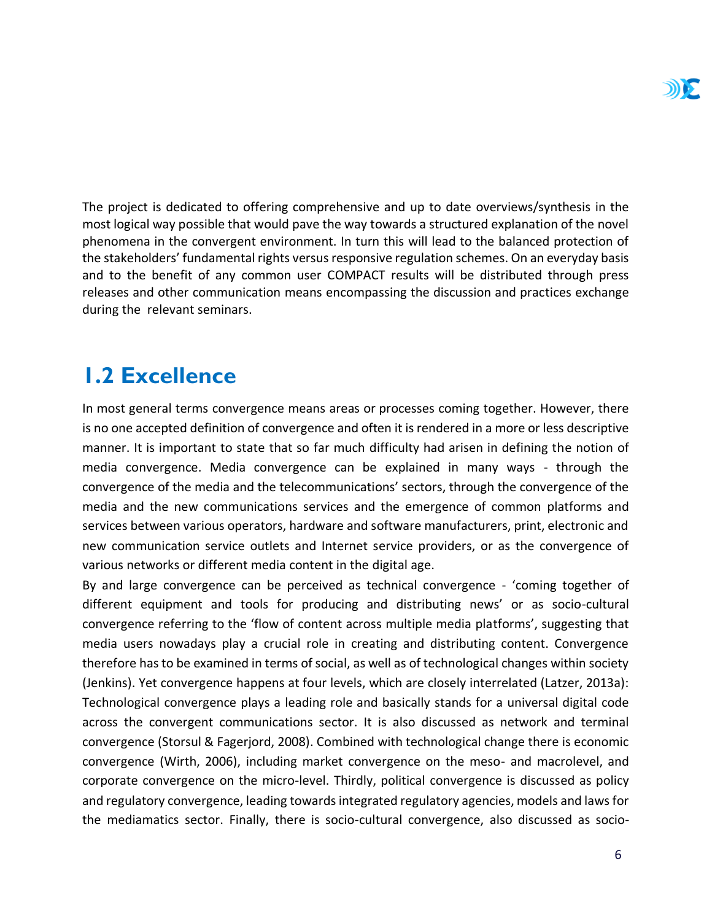The project is dedicated to offering comprehensive and up to date overviews/synthesis in the most logical way possible that would pave the way towards a structured explanation of the novel phenomena in the convergent environment. In turn this will lead to the balanced protection of the stakeholders' fundamental rights versus responsive regulation schemes. On an everyday basis and to the benefit of any common user COMPACT results will be distributed through press releases and other communication means encompassing the discussion and practices exchange during the relevant seminars.

## <span id="page-6-0"></span>**1.2 Excellence**

In most general terms convergence means areas or processes coming together. However, there is no one accepted definition of convergence and often it is rendered in a more or less descriptive manner. It is important to state that so far much difficulty had arisen in defining the notion of media convergence. Media convergence can be explained in many ways - through the convergence of the media and the telecommunications' sectors, through the convergence of the media and the new communications services and the emergence of common platforms and services between various operators, hardware and software manufacturers, print, electronic and new communication service outlets and Internet service providers, or as the convergence of various networks or different media content in the digital age.

By and large convergence can be perceived as technical convergence - 'coming together of different equipment and tools for producing and distributing news' or as socio-cultural convergence referring to the 'flow of content across multiple media platforms', suggesting that media users nowadays play a crucial role in creating and distributing content. Convergence therefore has to be examined in terms of social, as well as of technological changes within society (Jenkins). Yet convergence happens at four levels, which are closely interrelated (Latzer, 2013a): Technological convergence plays a leading role and basically stands for a universal digital code across the convergent communications sector. It is also discussed as network and terminal convergence (Storsul & Fagerjord, 2008). Combined with technological change there is economic convergence (Wirth, 2006), including market convergence on the meso- and macrolevel, and corporate convergence on the micro-level. Thirdly, political convergence is discussed as policy and regulatory convergence, leading towards integrated regulatory agencies, models and laws for the mediamatics sector. Finally, there is socio-cultural convergence, also discussed as socio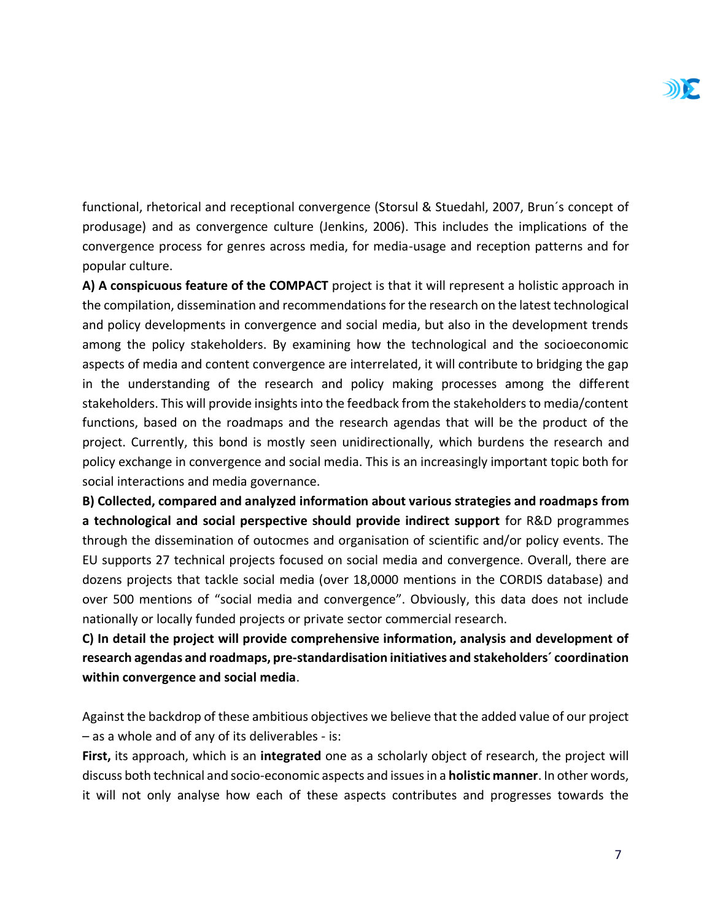functional, rhetorical and receptional convergence (Storsul & Stuedahl, 2007, Brun´s concept of produsage) and as convergence culture (Jenkins, 2006). This includes the implications of the convergence process for genres across media, for media-usage and reception patterns and for popular culture.

**A) A conspicuous feature of the COMPACT** project is that it will represent a holistic approach in the compilation, dissemination and recommendations for the research on the latest technological and policy developments in convergence and social media, but also in the development trends among the policy stakeholders. By examining how the technological and the socioeconomic aspects of media and content convergence are interrelated, it will contribute to bridging the gap in the understanding of the research and policy making processes among the different stakeholders. This will provide insights into the feedback from the stakeholders to media/content functions, based on the roadmaps and the research agendas that will be the product of the project. Currently, this bond is mostly seen unidirectionally, which burdens the research and policy exchange in convergence and social media. This is an increasingly important topic both for social interactions and media governance.

**B) Collected, compared and analyzed information about various strategies and roadmaps from a technological and social perspective should provide indirect support** for R&D programmes through the dissemination of outocmes and organisation of scientific and/or policy events. The EU supports 27 technical projects focused on social media and convergence. Overall, there are dozens projects that tackle social media (over 18,0000 mentions in the CORDIS database) and over 500 mentions of "social media and convergence". Obviously, this data does not include nationally or locally funded projects or private sector commercial research.

**C) In detail the project will provide comprehensive information, analysis and development of research agendas and roadmaps, pre-standardisation initiatives and stakeholders´ coordination within convergence and social media**.

Against the backdrop of these ambitious objectives we believe that the added value of our project – as a whole and of any of its deliverables - is:

**First,** its approach, which is an **integrated** one as a scholarly object of research, the project will discuss both technical and socio-economic aspects and issues in a **holistic manner**. In other words, it will not only analyse how each of these aspects contributes and progresses towards the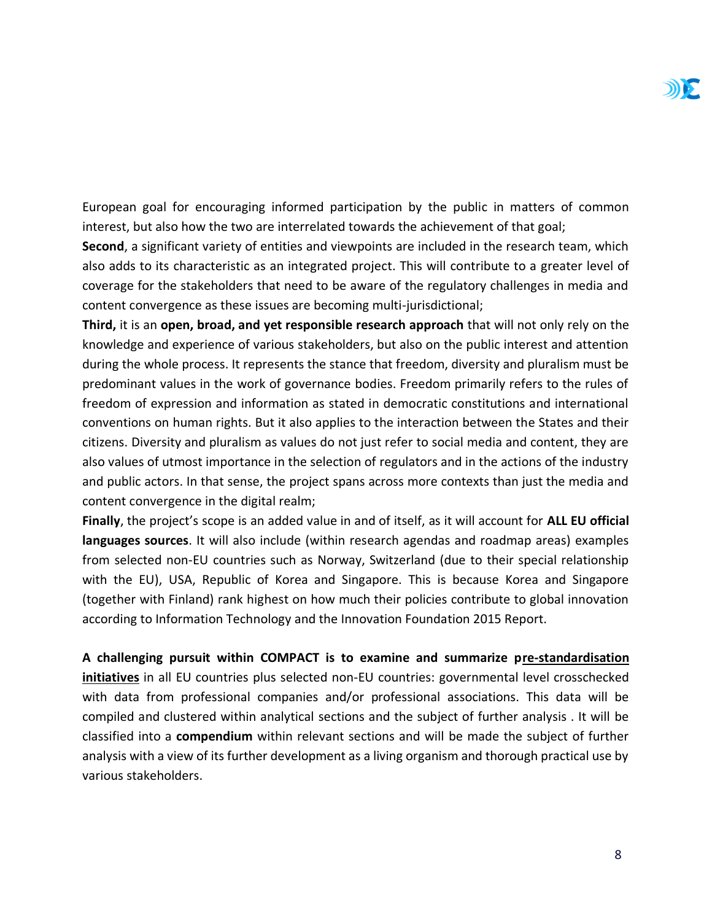European goal for encouraging informed participation by the public in matters of common interest, but also how the two are interrelated towards the achievement of that goal;

**Second**, a significant variety of entities and viewpoints are included in the research team, which also adds to its characteristic as an integrated project. This will contribute to a greater level of coverage for the stakeholders that need to be aware of the regulatory challenges in media and content convergence as these issues are becoming multi-jurisdictional;

**Third,** it is an **open, broad, and yet responsible research approach** that will not only rely on the knowledge and experience of various stakeholders, but also on the public interest and attention during the whole process. It represents the stance that freedom, diversity and pluralism must be predominant values in the work of governance bodies. Freedom primarily refers to the rules of freedom of expression and information as stated in democratic constitutions and international conventions on human rights. But it also applies to the interaction between the States and their citizens. Diversity and pluralism as values do not just refer to social media and content, they are also values of utmost importance in the selection of regulators and in the actions of the industry and public actors. In that sense, the project spans across more contexts than just the media and content convergence in the digital realm;

**Finally**, the project's scope is an added value in and of itself, as it will account for **ALL EU official languages sources**. It will also include (within research agendas and roadmap areas) examples from selected non-EU countries such as Norway, Switzerland (due to their special relationship with the EU), USA, Republic of Korea and Singapore. This is because Korea and Singapore (together with Finland) rank highest on how much their policies contribute to global innovation according to Information Technology and the Innovation Foundation 2015 Report.

**A challenging pursuit within COMPACT is to examine and summarize pre-standardisation initiatives** in all EU countries plus selected non-EU countries: governmental level crosschecked with data from professional companies and/or professional associations. This data will be compiled and clustered within analytical sections and the subject of further analysis . It will be classified into a **compendium** within relevant sections and will be made the subject of further analysis with a view of its further development as a living organism and thorough practical use by various stakeholders.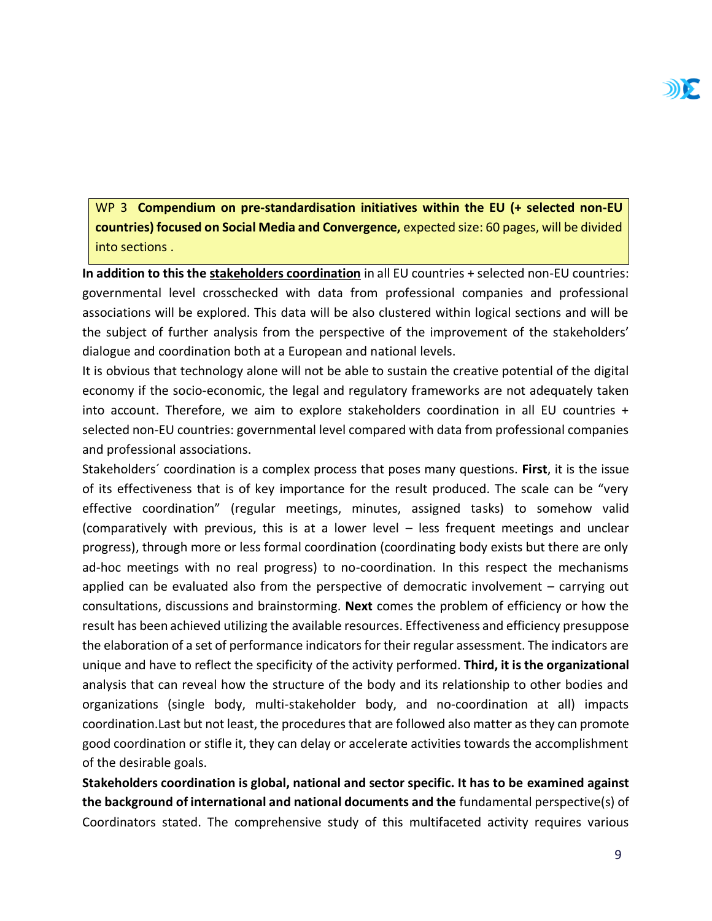WP 3 **Compendium on pre-standardisation initiatives within the EU (+ selected non-EU countries) focused on Social Media and Convergence,** expected size: 60 pages, will be divided into sections .

**In addition to this the stakeholders coordination** in all EU countries + selected non-EU countries: governmental level crosschecked with data from professional companies and professional associations will be explored. This data will be also clustered within logical sections and will be the subject of further analysis from the perspective of the improvement of the stakeholders' dialogue and coordination both at a European and national levels.

It is obvious that technology alone will not be able to sustain the creative potential of the digital economy if the socio-economic, the legal and regulatory frameworks are not adequately taken into account. Therefore, we aim to explore stakeholders coordination in all EU countries + selected non-EU countries: governmental level compared with data from professional companies and professional associations.

Stakeholders´ coordination is a complex process that poses many questions. **First**, it is the issue of its effectiveness that is of key importance for the result produced. The scale can be "very effective coordination" (regular meetings, minutes, assigned tasks) to somehow valid (comparatively with previous, this is at a lower level – less frequent meetings and unclear progress), through more or less formal coordination (coordinating body exists but there are only ad-hoc meetings with no real progress) to no-coordination. In this respect the mechanisms applied can be evaluated also from the perspective of democratic involvement – carrying out consultations, discussions and brainstorming. **Next** comes the problem of efficiency or how the result has been achieved utilizing the available resources. Effectiveness and efficiency presuppose the elaboration of a set of performance indicators for their regular assessment. The indicators are unique and have to reflect the specificity of the activity performed. **Third, it is the organizational** analysis that can reveal how the structure of the body and its relationship to other bodies and organizations (single body, multi-stakeholder body, and no-coordination at all) impacts coordination.Last but not least, the procedures that are followed also matter as they can promote good coordination or stifle it, they can delay or accelerate activities towards the accomplishment of the desirable goals.

**Stakeholders coordination is global, national and sector specific. It has to be examined against the background of international and national documents and the** fundamental perspective(s) of Coordinators stated. The comprehensive study of this multifaceted activity requires various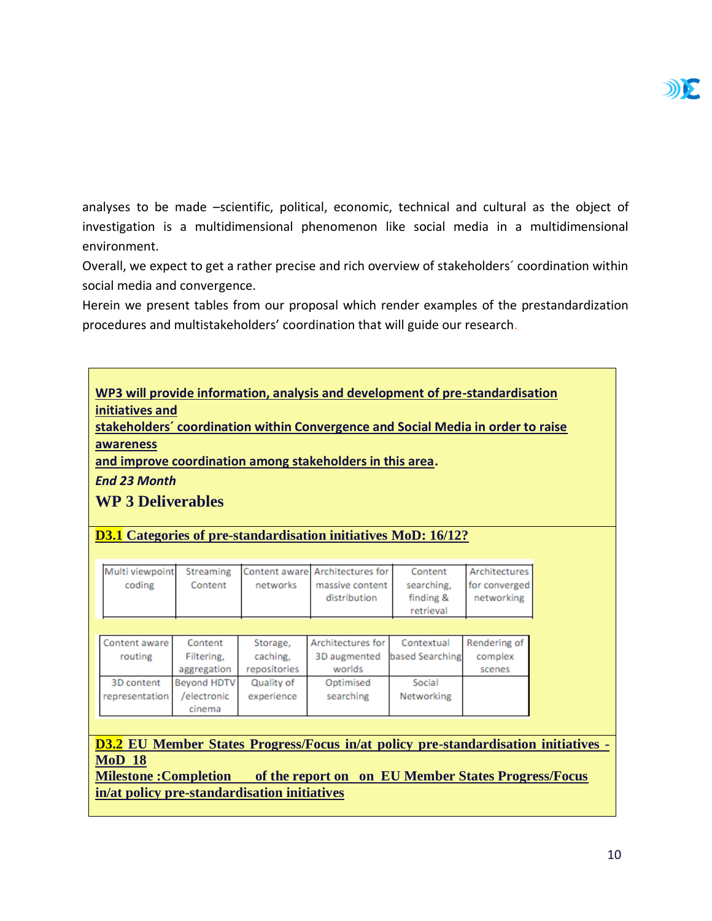

analyses to be made –scientific, political, economic, technical and cultural as the object of investigation is a multidimensional phenomenon like social media in a multidimensional environment.

Overall, we expect to get a rather precise and rich overview of stakeholders´ coordination within social media and convergence.

Herein we present tables from our proposal which render examples of the prestandardization procedures and multistakeholders' coordination that will guide our research.

| WP3 will provide information, analysis and development of pre-standardisation |  |
|-------------------------------------------------------------------------------|--|
| initiatives and                                                               |  |

**stakeholders´ coordination within Convergence and Social Media in order to raise awareness**

**and improve coordination among stakeholders in this area.**

*End 23 Month*

**WP 3 Deliverables**

**D3.1 Categories of pre-standardisation initiatives MoD: 16/12?**

|        |         |          | Multi viewpoint Streaming Content aware Architectures for | Content    | Architectures |
|--------|---------|----------|-----------------------------------------------------------|------------|---------------|
| coding | Content | networks | massive content                                           | searching. | for converged |
|        |         |          | distribution                                              | finding &  | networking    |
|        |         |          |                                                           | retrieval  |               |

| Content aware  | Content            | Storage,     | Architectures for | Contextual      | Rendering of |
|----------------|--------------------|--------------|-------------------|-----------------|--------------|
| routing        | Filtering,         | caching,     | 3D augmented      | based Searching | complex      |
|                | aggregation        | repositories | worlds            |                 | scenes       |
| 3D content     | <b>Bevond HDTV</b> | Quality of   | Optimised         | Social          |              |
| representation | /electronic        | experience   | searching         | Networking      |              |
|                | cinema             |              |                   |                 |              |

**D3.2 EU Member States Progress/Focus in/at policy pre-standardisation initiatives - MoD 18**

**Milestone :Completion of the report on on EU Member States Progress/Focus in/at policy pre-standardisation initiatives**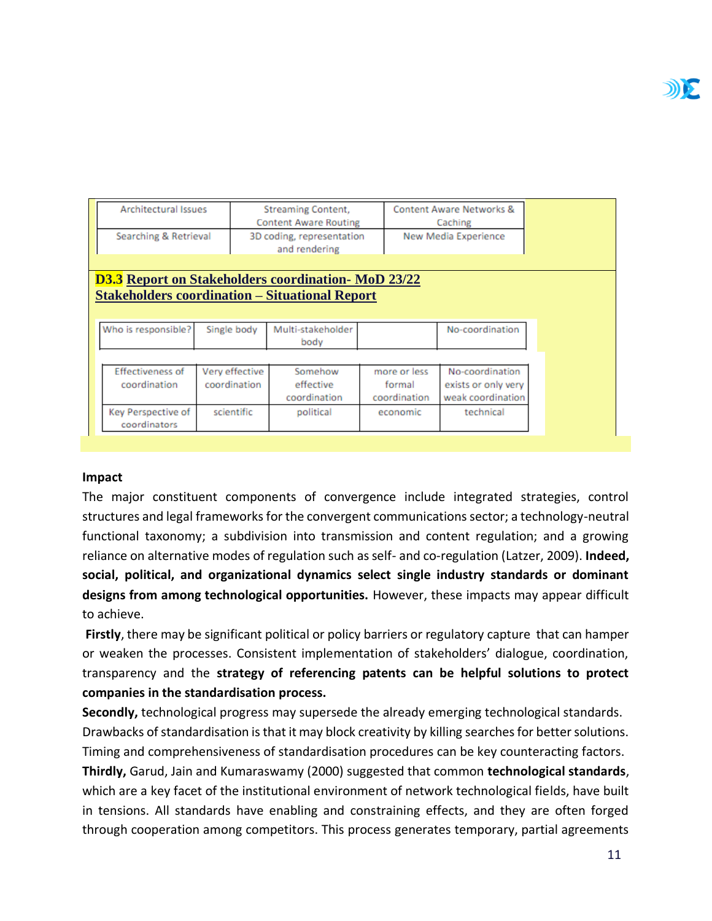| <b>Architectural Issues</b>                               |                | <b>Streaming Content,</b>    |              | Content Aware Networks & |
|-----------------------------------------------------------|----------------|------------------------------|--------------|--------------------------|
|                                                           |                | <b>Content Aware Routing</b> |              | Caching                  |
| Searching & Retrieval                                     |                | 3D coding, representation    |              | New Media Experience     |
|                                                           |                | and rendering                |              |                          |
|                                                           |                |                              |              |                          |
| <b>D3.3</b> Report on Stakeholders coordination MoD 23/22 |                |                              |              |                          |
| <b>Stakeholders coordination – Situational Report</b>     |                |                              |              |                          |
|                                                           |                |                              |              |                          |
|                                                           |                |                              |              |                          |
| Who is responsible?                                       | Single body    | Multi-stakeholder            |              | No-coordination          |
|                                                           |                | body                         |              |                          |
|                                                           |                |                              |              |                          |
| <b>Effectiveness of</b>                                   | Very effective | Somehow                      | more or less | No-coordination          |
| coordination                                              | coordination   | effective                    | formal       | exists or only very      |
|                                                           |                | coordination                 | coordination | weak coordination        |
| Key Perspective of                                        | scientific     | political                    | economic     | technical                |
| coordinators                                              |                |                              |              |                          |

#### **Impact**

The major constituent components of convergence include integrated strategies, control structures and legal frameworks for the convergent communications sector; a technology-neutral functional taxonomy; a subdivision into transmission and content regulation; and a growing reliance on alternative modes of regulation such as self- and co-regulation (Latzer, 2009). **Indeed, social, political, and organizational dynamics select single industry standards or dominant designs from among technological opportunities.** However, these impacts may appear difficult to achieve.

**Firstly**, there may be significant political or policy barriers or regulatory capture that can hamper or weaken the processes. Consistent implementation of stakeholders' dialogue, coordination, transparency and the **strategy of referencing patents can be helpful solutions to protect companies in the standardisation process.**

**Secondly,** technological progress may supersede the already emerging technological standards. Drawbacks of standardisation is that it may block creativity by killing searches for better solutions. Timing and comprehensiveness of standardisation procedures can be key counteracting factors. **Thirdly,** Garud, Jain and Kumaraswamy (2000) suggested that common **technological standards**, which are a key facet of the institutional environment of network technological fields, have built in tensions. All standards have enabling and constraining effects, and they are often forged through cooperation among competitors. This process generates temporary, partial agreements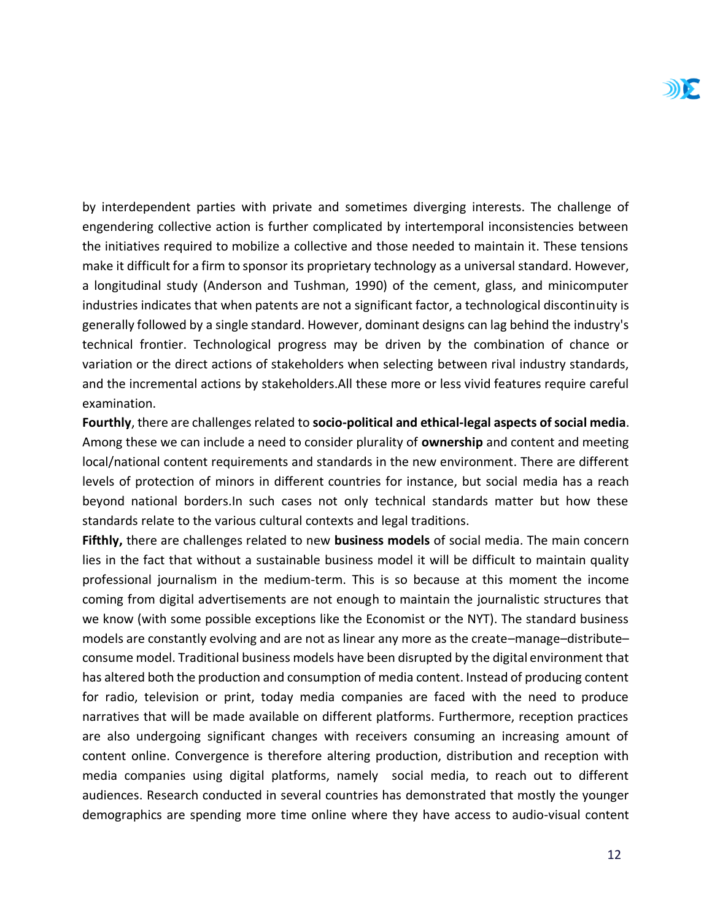by interdependent parties with private and sometimes diverging interests. The challenge of engendering collective action is further complicated by intertemporal inconsistencies between the initiatives required to mobilize a collective and those needed to maintain it. These tensions make it difficult for a firm to sponsor its proprietary technology as a universal standard. However, a longitudinal study (Anderson and Tushman, 1990) of the cement, glass, and minicomputer industries indicates that when patents are not a significant factor, a technological discontinuity is generally followed by a single standard. However, dominant designs can lag behind the industry's technical frontier. Technological progress may be driven by the combination of chance or variation or the direct actions of stakeholders when selecting between rival industry standards, and the incremental actions by stakeholders.All these more or less vivid features require careful examination.

**Fourthly**, there are challenges related to **socio-political and ethical-legal aspects of social media**. Among these we can include a need to consider plurality of **ownership** and content and meeting local/national content requirements and standards in the new environment. There are different levels of protection of minors in different countries for instance, but social media has a reach beyond national borders.In such cases not only technical standards matter but how these standards relate to the various cultural contexts and legal traditions.

**Fifthly,** there are challenges related to new **business models** of social media. The main concern lies in the fact that without a sustainable business model it will be difficult to maintain quality professional journalism in the medium-term. This is so because at this moment the income coming from digital advertisements are not enough to maintain the journalistic structures that we know (with some possible exceptions like the Economist or the NYT). The standard business models are constantly evolving and are not as linear any more as the create–manage–distribute– consume model. Traditional business models have been disrupted by the digital environment that has altered both the production and consumption of media content. Instead of producing content for radio, television or print, today media companies are faced with the need to produce narratives that will be made available on different platforms. Furthermore, reception practices are also undergoing significant changes with receivers consuming an increasing amount of content online. Convergence is therefore altering production, distribution and reception with media companies using digital platforms, namely social media, to reach out to different audiences. Research conducted in several countries has demonstrated that mostly the younger demographics are spending more time online where they have access to audio-visual content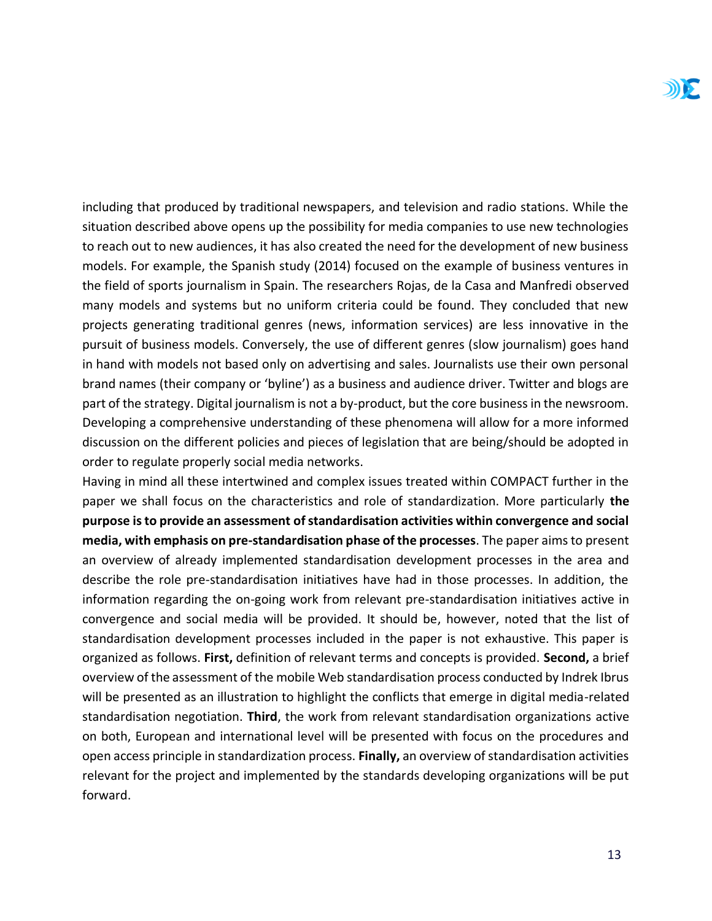including that produced by traditional newspapers, and television and radio stations. While the situation described above opens up the possibility for media companies to use new technologies to reach out to new audiences, it has also created the need for the development of new business models. For example, the Spanish study (2014) focused on the example of business ventures in the field of sports journalism in Spain. The researchers Rojas, de la Casa and Manfredi observed many models and systems but no uniform criteria could be found. They concluded that new projects generating traditional genres (news, information services) are less innovative in the pursuit of business models. Conversely, the use of different genres (slow journalism) goes hand in hand with models not based only on advertising and sales. Journalists use their own personal brand names (their company or 'byline') as a business and audience driver. Twitter and blogs are part of the strategy. Digital journalism is not a by-product, but the core business in the newsroom. Developing a comprehensive understanding of these phenomena will allow for a more informed discussion on the different policies and pieces of legislation that are being/should be adopted in order to regulate properly social media networks.

Having in mind all these intertwined and complex issues treated within COMPACT further in the paper we shall focus on the characteristics and role of standardization. More particularly **the purpose is to provide an assessment of standardisation activities within convergence and social media, with emphasis on pre-standardisation phase of the processes**. The paper aims to present an overview of already implemented standardisation development processes in the area and describe the role pre-standardisation initiatives have had in those processes. In addition, the information regarding the on-going work from relevant pre-standardisation initiatives active in convergence and social media will be provided. It should be, however, noted that the list of standardisation development processes included in the paper is not exhaustive. This paper is organized as follows. **First,** definition of relevant terms and concepts is provided. **Second,** a brief overview of the assessment of the mobile Web standardisation process conducted by Indrek Ibrus will be presented as an illustration to highlight the conflicts that emerge in digital media-related standardisation negotiation. **Third**, the work from relevant standardisation organizations active on both, European and international level will be presented with focus on the procedures and open access principle in standardization process. **Finally,** an overview of standardisation activities relevant for the project and implemented by the standards developing organizations will be put forward.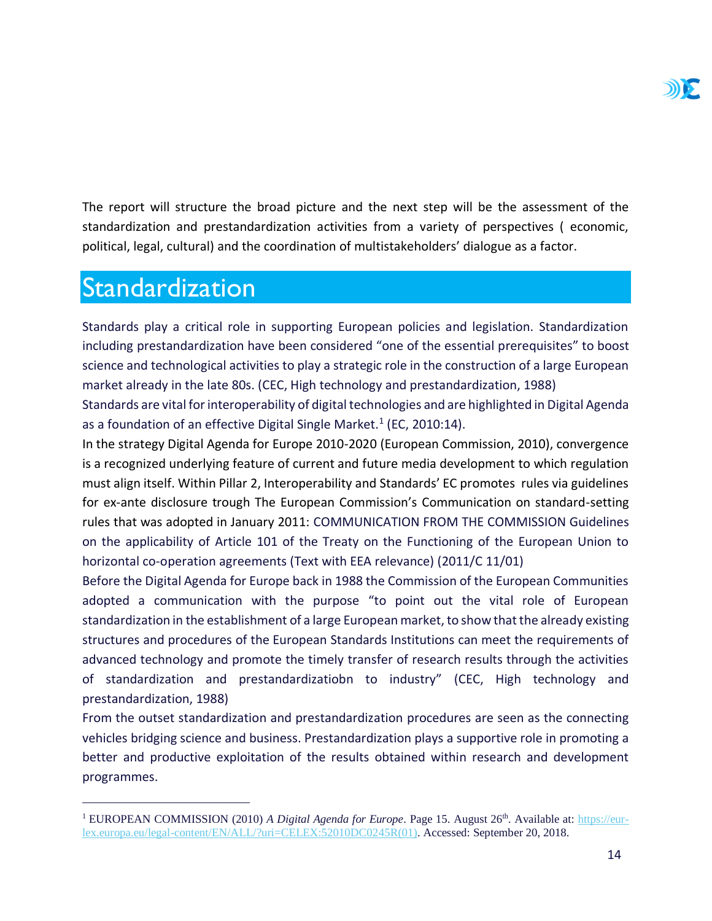The report will structure the broad picture and the next step will be the assessment of the standardization and prestandardization activities from a variety of perspectives ( economic, political, legal, cultural) and the coordination of multistakeholders' dialogue as a factor.

## <span id="page-14-0"></span>Standardization

 $\overline{a}$ 

Standards play a critical role in supporting European policies and legislation. Standardization including prestandardization have been considered "one of the essential prerequisites" to boost science and technological activities to play a strategic role in the construction of a large European market already in the late 80s. (CEC, High technology and prestandardization, 1988)

Standards are vital for interoperability of digital technologies and are highlighted in Digital Agenda as a foundation of an effective Digital Single Market.<sup>1</sup> (EC, 2010:14).

In the strategy Digital Agenda for Europe 2010-2020 (European Commission, 2010), convergence is a recognized underlying feature of current and future media development to which regulation must align itself. Within Pillar 2, Interoperability and Standards' EC promotes rules via guidelines for ex-ante disclosure trough The European Commission's Communication on standard-setting rules that was adopted in January 2011: COMMUNICATION FROM THE COMMISSION Guidelines on the applicability of Article 101 of the Treaty on the Functioning of the European Union to horizontal co-operation agreements (Text with EEA relevance) (2011/C 11/01)

Before the Digital Agenda for Europe back in 1988 the Commission of the European Communities adopted a communication with the purpose "to point out the vital role of European standardization in the establishment of a large European market, to show that the already existing structures and procedures of the European Standards Institutions can meet the requirements of advanced technology and promote the timely transfer of research results through the activities of standardization and prestandardizatiobn to industry" (CEC, High technology and prestandardization, 1988)

From the outset standardization and prestandardization procedures are seen as the connecting vehicles bridging science and business. Prestandardization plays a supportive role in promoting a better and productive exploitation of the results obtained within research and development programmes.

<sup>&</sup>lt;sup>1</sup> EUROPEAN COMMISSION (2010) *A Digital Agenda for Europe*. Page 15. August 26<sup>th</sup>. Available at: [https://eur](https://eur-lex.europa.eu/legal-content/EN/ALL/?uri=CELEX:52010DC0245R(01))[lex.europa.eu/legal-content/EN/ALL/?uri=CELEX:52010DC0245R\(01\).](https://eur-lex.europa.eu/legal-content/EN/ALL/?uri=CELEX:52010DC0245R(01)) Accessed: September 20, 2018.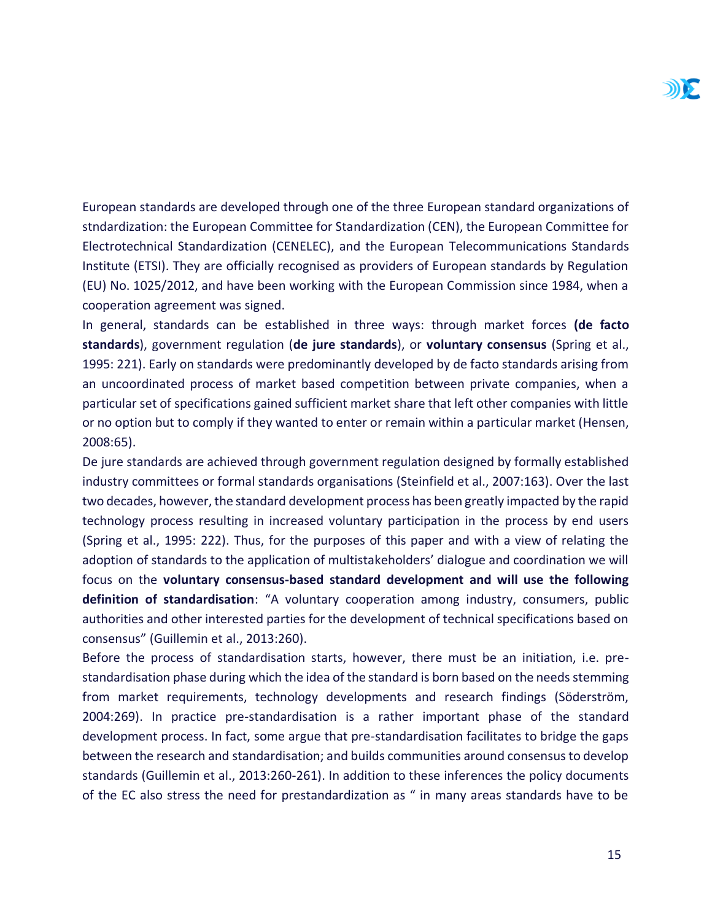European standards are developed through one of the three European standard organizations of stndardization: the European Committee for Standardization (CEN), the European Committee for Electrotechnical Standardization (CENELEC), and the European Telecommunications Standards Institute (ETSI). They are officially recognised as providers of European standards by Regulation (EU) No. 1025/2012, and have been working with the European Commission since 1984, when a cooperation agreement was signed.

In general, standards can be established in three ways: through market forces **(de facto standards**), government regulation (**de jure standards**), or **voluntary consensus** (Spring et al., 1995: 221). Early on standards were predominantly developed by de facto standards arising from an uncoordinated process of market based competition between private companies, when a particular set of specifications gained sufficient market share that left other companies with little or no option but to comply if they wanted to enter or remain within a particular market (Hensen, 2008:65).

De jure standards are achieved through government regulation designed by formally established industry committees or formal standards organisations (Steinfield et al., 2007:163). Over the last two decades, however, the standard development process has been greatly impacted by the rapid technology process resulting in increased voluntary participation in the process by end users (Spring et al., 1995: 222). Thus, for the purposes of this paper and with a view of relating the adoption of standards to the application of multistakeholders' dialogue and coordination we will focus on the **voluntary consensus-based standard development and will use the following definition of standardisation**: "A voluntary cooperation among industry, consumers, public authorities and other interested parties for the development of technical specifications based on consensus" (Guillemin et al., 2013:260).

Before the process of standardisation starts, however, there must be an initiation, i.e. prestandardisation phase during which the idea of the standard is born based on the needs stemming from market requirements, technology developments and research findings (Söderström, 2004:269). In practice pre-standardisation is a rather important phase of the standard development process. In fact, some argue that pre-standardisation facilitates to bridge the gaps between the research and standardisation; and builds communities around consensus to develop standards (Guillemin et al., 2013:260-261). In addition to these inferences the policy documents of the EC also stress the need for prestandardization as " in many areas standards have to be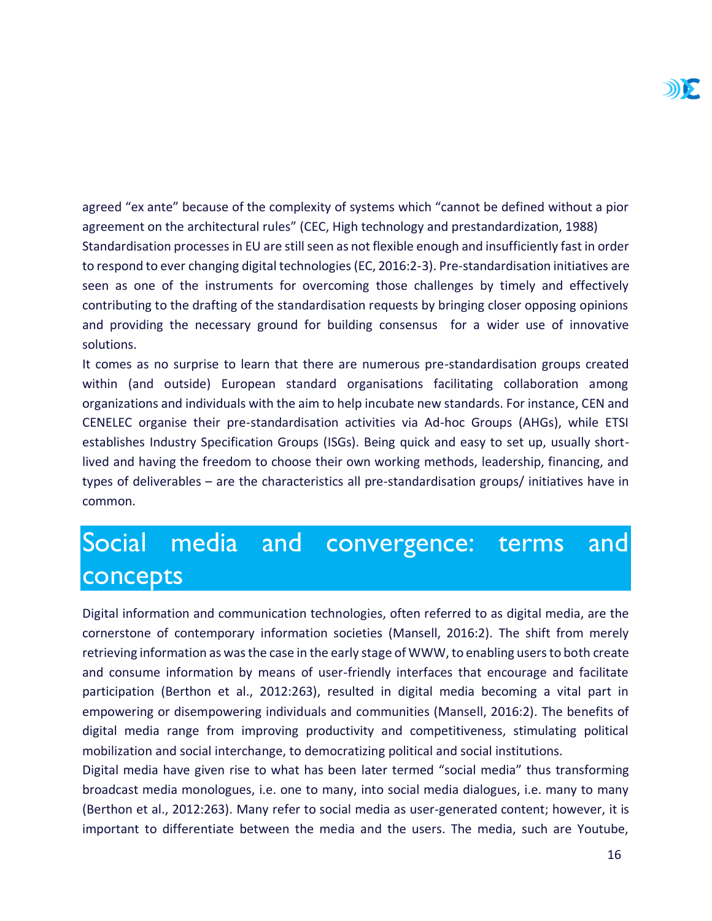agreed "ex ante" because of the complexity of systems which "cannot be defined without a pior agreement on the architectural rules" (CEC, High technology and prestandardization, 1988) Standardisation processes in EU are still seen as not flexible enough and insufficiently fast in order to respond to ever changing digital technologies (EC, 2016:2-3). Pre-standardisation initiatives are seen as one of the instruments for overcoming those challenges by timely and effectively contributing to the drafting of the standardisation requests by bringing closer opposing opinions and providing the necessary ground for building consensus for a wider use of innovative solutions.

It comes as no surprise to learn that there are numerous pre-standardisation groups created within (and outside) European standard organisations facilitating collaboration among organizations and individuals with the aim to help incubate new standards. For instance, CEN and CENELEC organise their pre-standardisation activities via Ad-hoc Groups (AHGs), while ETSI establishes Industry Specification Groups (ISGs). Being quick and easy to set up, usually shortlived and having the freedom to choose their own working methods, leadership, financing, and types of deliverables – are the characteristics all pre-standardisation groups/ initiatives have in common.

## <span id="page-16-0"></span>Social media and convergence: terms and concepts

Digital information and communication technologies, often referred to as digital media, are the cornerstone of contemporary information societies (Mansell, 2016:2). The shift from merely retrieving information as was the case in the early stage of WWW, to enabling users to both create and consume information by means of user-friendly interfaces that encourage and facilitate participation (Berthon et al., 2012:263), resulted in digital media becoming a vital part in empowering or disempowering individuals and communities (Mansell, 2016:2). The benefits of digital media range from improving productivity and competitiveness, stimulating political mobilization and social interchange, to democratizing political and social institutions.

Digital media have given rise to what has been later termed "social media" thus transforming broadcast media monologues, i.e. one to many, into social media dialogues, i.e. many to many (Berthon et al., 2012:263). Many refer to social media as user-generated content; however, it is important to differentiate between the media and the users. The media, such are Youtube,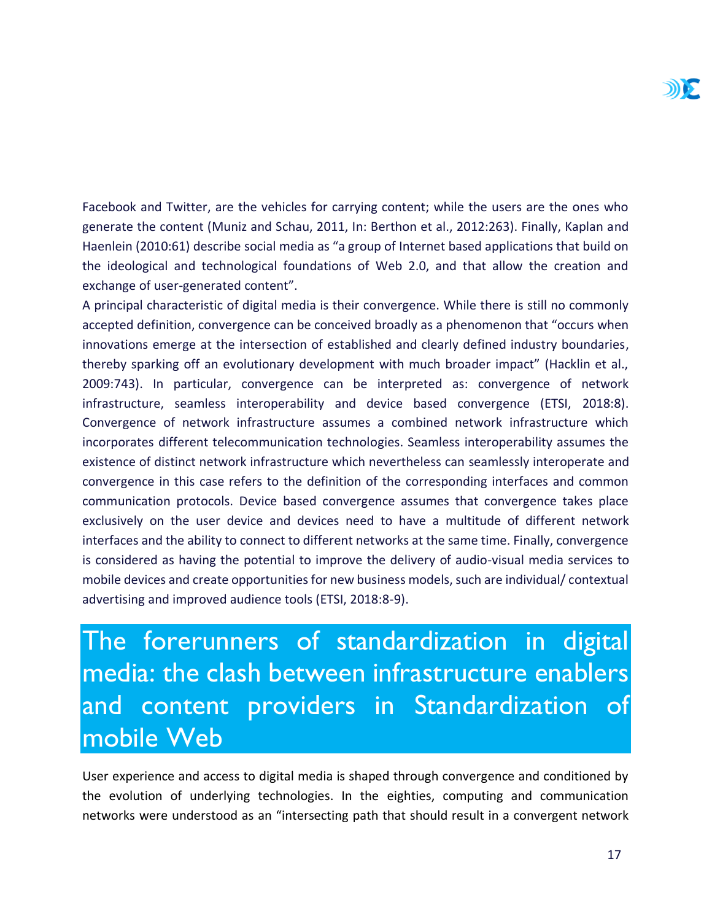Facebook and Twitter, are the vehicles for carrying content; while the users are the ones who generate the content (Muniz and Schau, 2011, In: Berthon et al., 2012:263). Finally, Kaplan and Haenlein (2010:61) describe social media as "a group of Internet based applications that build on the ideological and technological foundations of Web 2.0, and that allow the creation and exchange of user-generated content".

A principal characteristic of digital media is their convergence. While there is still no commonly accepted definition, convergence can be conceived broadly as a phenomenon that "occurs when innovations emerge at the intersection of established and clearly defined industry boundaries, thereby sparking off an evolutionary development with much broader impact" (Hacklin et al., 2009:743). In particular, convergence can be interpreted as: convergence of network infrastructure, seamless interoperability and device based convergence (ETSI, 2018:8). Convergence of network infrastructure assumes a combined network infrastructure which incorporates different telecommunication technologies. Seamless interoperability assumes the existence of distinct network infrastructure which nevertheless can seamlessly interoperate and convergence in this case refers to the definition of the corresponding interfaces and common communication protocols. Device based convergence assumes that convergence takes place exclusively on the user device and devices need to have a multitude of different network interfaces and the ability to connect to different networks at the same time. Finally, convergence is considered as having the potential to improve the delivery of audio-visual media services to mobile devices and create opportunities for new business models, such are individual/ contextual advertising and improved audience tools (ETSI, 2018:8-9).

<span id="page-17-0"></span>The forerunners of standardization in digital media: the clash between infrastructure enablers and content providers in Standardization of mobile Web

User experience and access to digital media is shaped through convergence and conditioned by the evolution of underlying technologies. In the eighties, computing and communication networks were understood as an "intersecting path that should result in a convergent network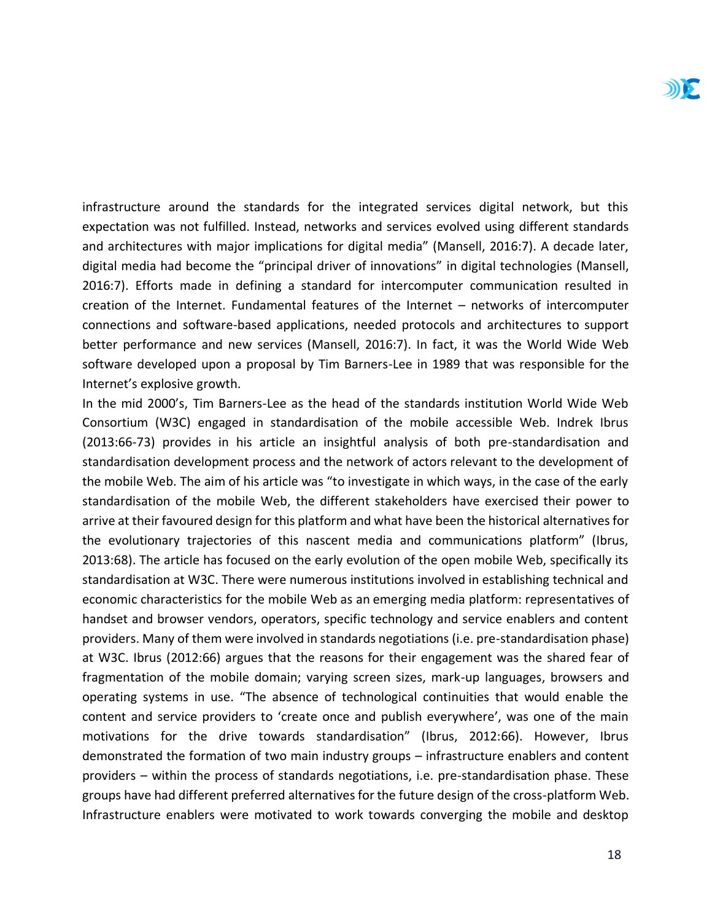infrastructure around the standards for the integrated services digital network, but this expectation was not fulfilled. Instead, networks and services evolved using different standards and architectures with major implications for digital media" (Mansell, 2016:7). A decade later, digital media had become the "principal driver of innovations" in digital technologies (Mansell, 2016:7). Efforts made in defining a standard for intercomputer communication resulted in creation of the Internet. Fundamental features of the Internet – networks of intercomputer connections and software-based applications, needed protocols and architectures to support better performance and new services (Mansell, 2016:7). In fact, it was the World Wide Web software developed upon a proposal by Tim Barners-Lee in 1989 that was responsible for the Internet's explosive growth.

In the mid 2000's, Tim Barners-Lee as the head of the standards institution World Wide Web Consortium (W3C) engaged in standardisation of the mobile accessible Web. Indrek Ibrus (2013:66-73) provides in his article an insightful analysis of both pre-standardisation and standardisation development process and the network of actors relevant to the development of the mobile Web. The aim of his article was "to investigate in which ways, in the case of the early standardisation of the mobile Web, the different stakeholders have exercised their power to arrive at their favoured design for this platform and what have been the historical alternatives for the evolutionary trajectories of this nascent media and communications platform" (Ibrus, 2013:68). The article has focused on the early evolution of the open mobile Web, specifically its standardisation at W3C. There were numerous institutions involved in establishing technical and economic characteristics for the mobile Web as an emerging media platform: representatives of handset and browser vendors, operators, specific technology and service enablers and content providers. Many of them were involved in standards negotiations (i.e. pre-standardisation phase) at W3C. Ibrus (2012:66) argues that the reasons for their engagement was the shared fear of fragmentation of the mobile domain; varying screen sizes, mark-up languages, browsers and operating systems in use. "The absence of technological continuities that would enable the content and service providers to 'create once and publish everywhere', was one of the main motivations for the drive towards standardisation" (Ibrus, 2012:66). However, Ibrus demonstrated the formation of two main industry groups – infrastructure enablers and content providers – within the process of standards negotiations, i.e. pre-standardisation phase. These groups have had different preferred alternatives for the future design of the cross-platform Web. Infrastructure enablers were motivated to work towards converging the mobile and desktop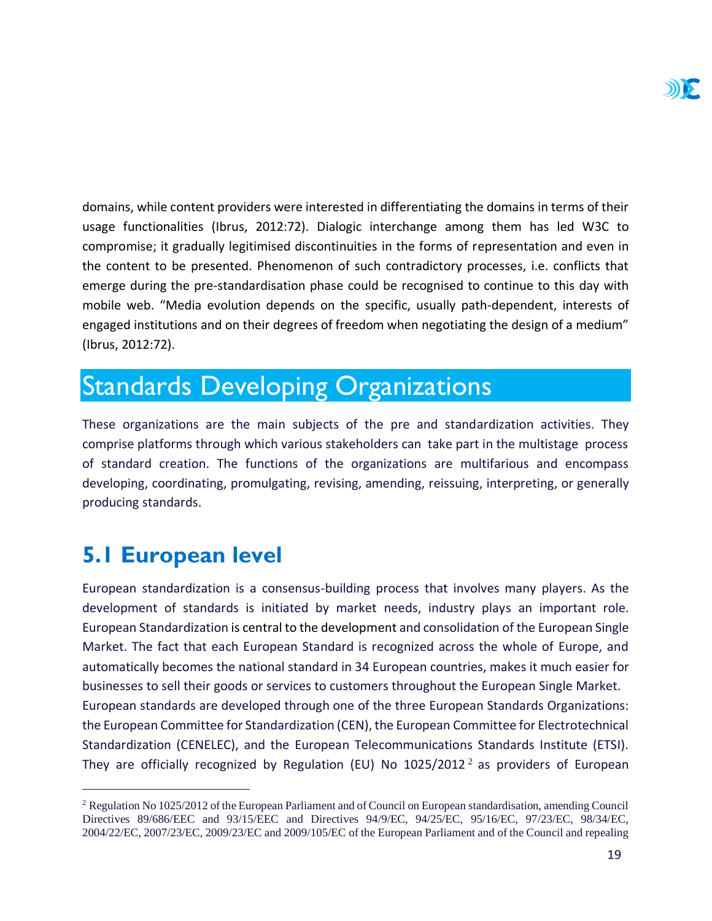domains, while content providers were interested in differentiating the domains in terms of their usage functionalities (Ibrus, 2012:72). Dialogic interchange among them has led W3C to compromise; it gradually legitimised discontinuities in the forms of representation and even in the content to be presented. Phenomenon of such contradictory processes, i.e. conflicts that emerge during the pre-standardisation phase could be recognised to continue to this day with mobile web. "Media evolution depends on the specific, usually path-dependent, interests of engaged institutions and on their degrees of freedom when negotiating the design of a medium" (Ibrus, 2012:72).

## <span id="page-19-0"></span>Standards Developing Organizations

These organizations are the main subjects of the pre and standardization activities. They comprise platforms through which various stakeholders can take part in the multistage process of standard creation. The functions of the organizations are multifarious and encompass developing, coordinating, promulgating, revising, amending, reissuing, interpreting, or generally producing standards.

## <span id="page-19-1"></span>**5.1 European level**

 $\overline{a}$ 

European standardization is a consensus-building process that involves many players. As the development of standards is initiated by market needs, industry plays an important role. European Standardization is central to the development and consolidation of the European Single Market. The fact that each European Standard is recognized across the whole of Europe, and automatically becomes the national standard in 34 European countries, makes it much easier for businesses to sell their goods or services to customers throughout the European Single Market. European standards are developed through one of the three European Standards Organizations: the European Committee for Standardization (CEN), the European Committee for Electrotechnical Standardization (CENELEC), and the European Telecommunications Standards Institute (ETSI). They are officially recognized by Regulation (EU) No  $1025/2012^2$  as providers of European

<sup>2</sup> Regulation No 1025/2012 of the European Parliament and of Council on European standardisation, amending Council Directives 89/686/EEC and 93/15/EEC and Directives 94/9/EC, 94/25/EC, 95/16/EC, 97/23/EC, 98/34/EC, 2004/22/EC, 2007/23/EC, 2009/23/EC and 2009/105/EC of the European Parliament and of the Council and repealing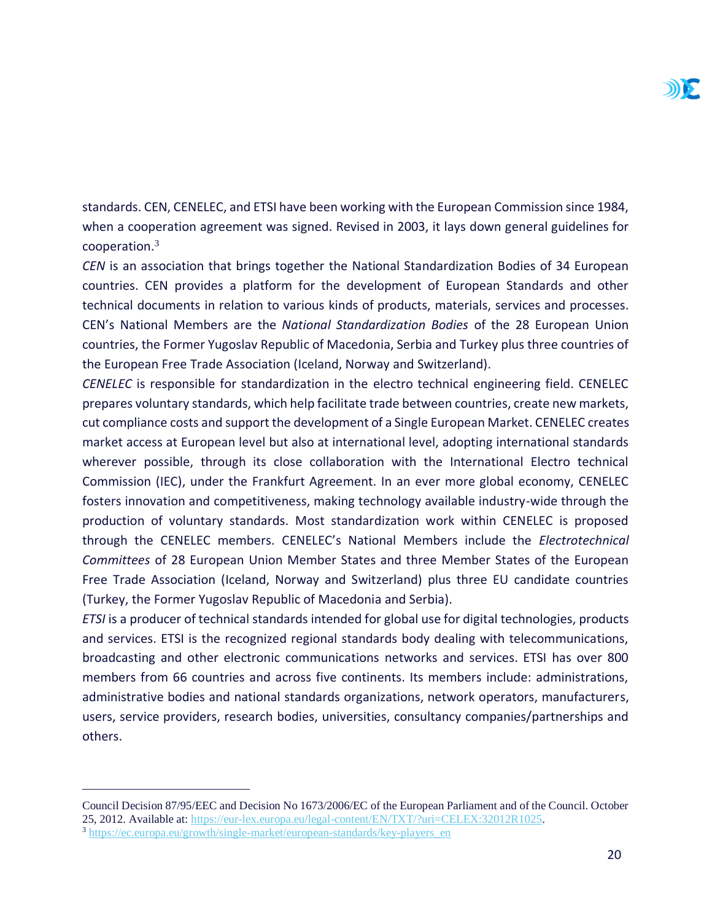standards. CEN, CENELEC, and ETSI have been working with the European Commission since 1984, when a cooperation agreement was signed. Revised in 2003, it lays down general guidelines for cooperation.<sup>3</sup>

*CEN* is an association that brings together the National Standardization Bodies of 34 European countries. CEN provides a platform for the development of European Standards and other technical documents in relation to various kinds of products, materials, services and processes. CEN's National Members are the *National Standardization Bodies* of the 28 European Union countries, the Former Yugoslav Republic of Macedonia, Serbia and Turkey plus three countries of the European Free Trade Association (Iceland, Norway and Switzerland).

*CENELEC* is responsible for standardization in the electro technical engineering field. CENELEC prepares voluntary standards, which help facilitate trade between countries, create new markets, cut compliance costs and support the development of a Single European Market. CENELEC creates market access at European level but also at international level, adopting international standards wherever possible, through its close collaboration with the International Electro technical Commission (IEC), under the Frankfurt Agreement. In an ever more global economy, CENELEC fosters innovation and competitiveness, making technology available industry-wide through the production of voluntary standards. Most standardization work within CENELEC is proposed through the CENELEC members. CENELEC's National Members include the *Electrotechnical Committees* of 28 European Union Member States and three Member States of the European Free Trade Association (Iceland, Norway and Switzerland) plus three EU candidate countries (Turkey, the Former Yugoslav Republic of Macedonia and Serbia).

*ETSI* is a producer of technical standards intended for global use for digital technologies, products and services. ETSI is the recognized regional standards body dealing with telecommunications, broadcasting and other electronic communications networks and services. ETSI has over 800 members from 66 countries and across five continents. Its members include: administrations, administrative bodies and national standards organizations, network operators, manufacturers, users, service providers, research bodies, universities, consultancy companies/partnerships and others.

Council Decision 87/95/EEC and Decision No 1673/2006/EC of the European Parliament and of the Council. October 25, 2012. Available at: [https://eur-lex.europa.eu/legal-content/EN/TXT/?uri=CELEX:32012R1025.](https://eur-lex.europa.eu/legal-content/EN/TXT/?uri=CELEX:32012R1025) 

<sup>3</sup> [https://ec.europa.eu/growth/single-market/european-standards/key-players\\_en](https://ec.europa.eu/growth/single-market/european-standards/key-players_en)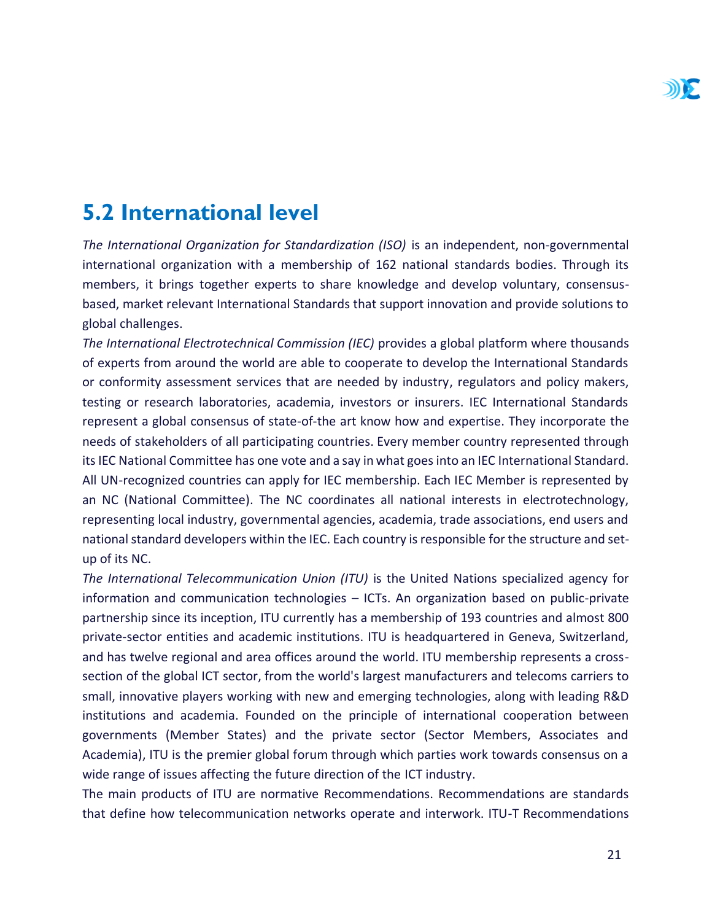## <span id="page-21-0"></span>**5.2 International level**

*The International Organization for Standardization (ISO)* is an independent, non-governmental international organization with a membership of 162 national standards bodies. Through its members, it brings together experts to share knowledge and develop voluntary, consensusbased, market relevant International Standards that support innovation and provide solutions to global challenges.

*The International Electrotechnical Commission (IEC)* provides a global platform where thousands of experts from around the world are able to cooperate to develop the International Standards or conformity assessment services that are needed by industry, regulators and policy makers, testing or research laboratories, academia, investors or insurers. IEC International Standards represent a global consensus of state-of-the art know how and expertise. They incorporate the needs of stakeholders of all participating countries. Every member country represented through its IEC National Committee has one vote and a say in what goes into an IEC International Standard. All UN-recognized countries can apply for IEC membership. Each IEC Member is represented by an NC (National Committee). The NC coordinates all national interests in electrotechnology, representing local industry, governmental agencies, academia, trade associations, end users and national standard developers within the IEC. Each country is responsible for the structure and setup of its NC.

*The International Telecommunication Union (ITU)* is the United Nations specialized agency for information and communication technologies – ICTs. An organization based on public-private partnership since its inception, ITU currently has a membership of 193 countries and almost 800 private-sector entities and academic institutions. ITU is headquartered in Geneva, Switzerland, and has twelve regional and area offices around the world. ITU membership represents a crosssection of the global ICT sector, from the world's largest manufacturers and telecoms carriers to small, innovative players working with new and emerging technologies, along with leading R&D institutions and academia. Founded on the principle of international cooperation between governments (Member States) and the private sector (Sector Members, Associates and Academia), ITU is the premier global forum through which parties work towards consensus on a wide range of issues affecting the future direction of the ICT industry.

The main products of ITU are normative Recommendations. Recommendations are standards that define how telecommunication networks operate and interwork. ITU-T Recommendations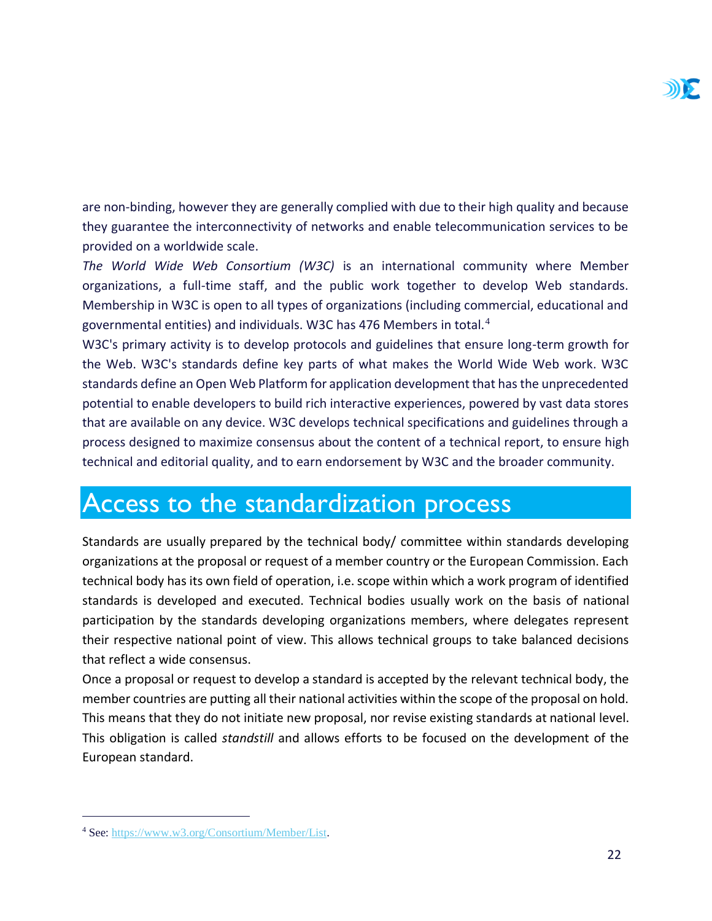are non-binding, however they are generally complied with due to their high quality and because they guarantee the interconnectivity of networks and enable telecommunication services to be provided on a worldwide scale.

*The World Wide Web Consortium (W3C)* is an international community where Member organizations, a full-time staff, and the public work together to develop Web standards. Membership in W3C is open to all types of organizations (including commercial, educational and governmental entities) and individuals. W3C has 476 Members in total.<sup>4</sup>

W3C's primary activity is to develop protocols and guidelines that ensure long-term growth for the Web. W3C's standards define key parts of what makes the World Wide Web work. W3C standards define an Open Web Platform for application development that has the unprecedented potential to enable developers to build rich interactive experiences, powered by vast data stores that are available on any device. W3C develops technical specifications and guidelines through a process designed to maximize consensus about the content of a technical report, to ensure high technical and editorial quality, and to earn endorsement by W3C and the broader community.

## <span id="page-22-0"></span>Access to the standardization process

Standards are usually prepared by the technical body/ committee within standards developing organizations at the proposal or request of a member country or the European Commission. Each technical body has its own field of operation, i.e. scope within which a work program of identified standards is developed and executed. Technical bodies usually work on the basis of national participation by the standards developing organizations members, where delegates represent their respective national point of view. This allows technical groups to take balanced decisions that reflect a wide consensus.

Once a proposal or request to develop a standard is accepted by the relevant technical body, the member countries are putting all their national activities within the scope of the proposal on hold. This means that they do not initiate new proposal, nor revise existing standards at national level. This obligation is called *standstill* and allows efforts to be focused on the development of the European standard.

<sup>4</sup> See: [https://www.w3.org/Consortium/Member/List.](https://www.w3.org/Consortium/Member/List)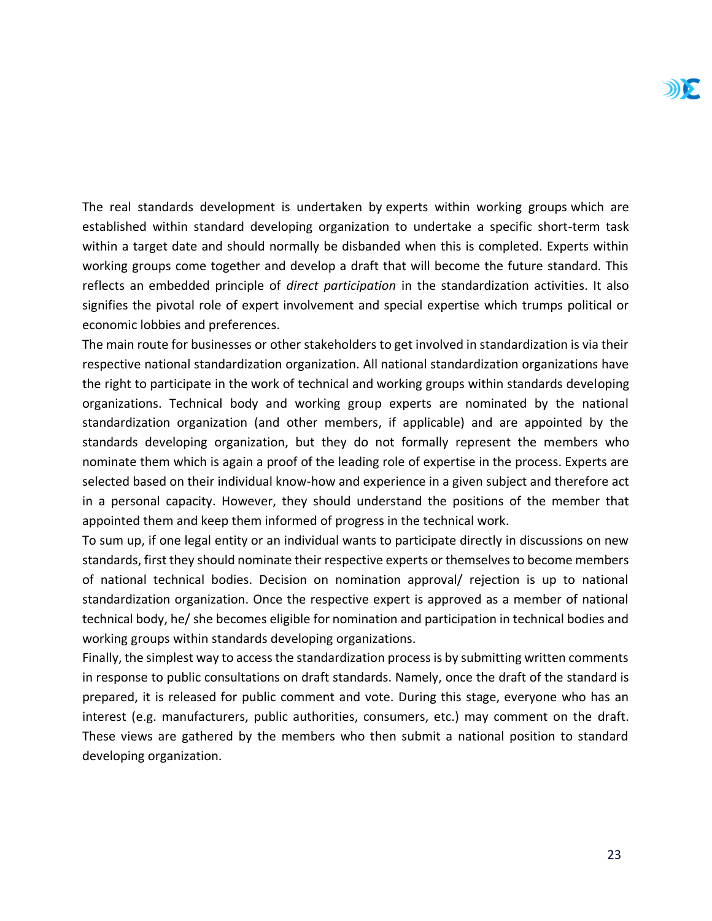The real standards development is undertaken by experts within working groups which are established within standard developing organization to undertake a specific short-term task within a target date and should normally be disbanded when this is completed. Experts within working groups come together and develop a draft that will become the future standard. This reflects an embedded principle of *direct participation* in the standardization activities. It also signifies the pivotal role of expert involvement and special expertise which trumps political or economic lobbies and preferences.

The main route for businesses or other stakeholders to get involved in standardization is via their respective national standardization organization. All national standardization organizations have the right to participate in the work of technical and working groups within standards developing organizations. Technical body and working group experts are nominated by the national standardization organization (and other members, if applicable) and are appointed by the standards developing organization, but they do not formally represent the members who nominate them which is again a proof of the leading role of expertise in the process. Experts are selected based on their individual know-how and experience in a given subject and therefore act in a personal capacity. However, they should understand the positions of the member that appointed them and keep them informed of progress in the technical work.

To sum up, if one legal entity or an individual wants to participate directly in discussions on new standards, first they should nominate their respective experts or themselves to become members of national technical bodies. Decision on nomination approval/ rejection is up to national standardization organization. Once the respective expert is approved as a member of national technical body, he/ she becomes eligible for nomination and participation in technical bodies and working groups within standards developing organizations.

Finally, the simplest way to access the standardization process is by submitting written comments in response to public consultations on draft standards. Namely, once the draft of the standard is prepared, it is released for public comment and vote. During this stage, everyone who has an interest (e.g. manufacturers, public authorities, consumers, etc.) may comment on the draft. These views are gathered by the members who then submit a national position to standard developing organization.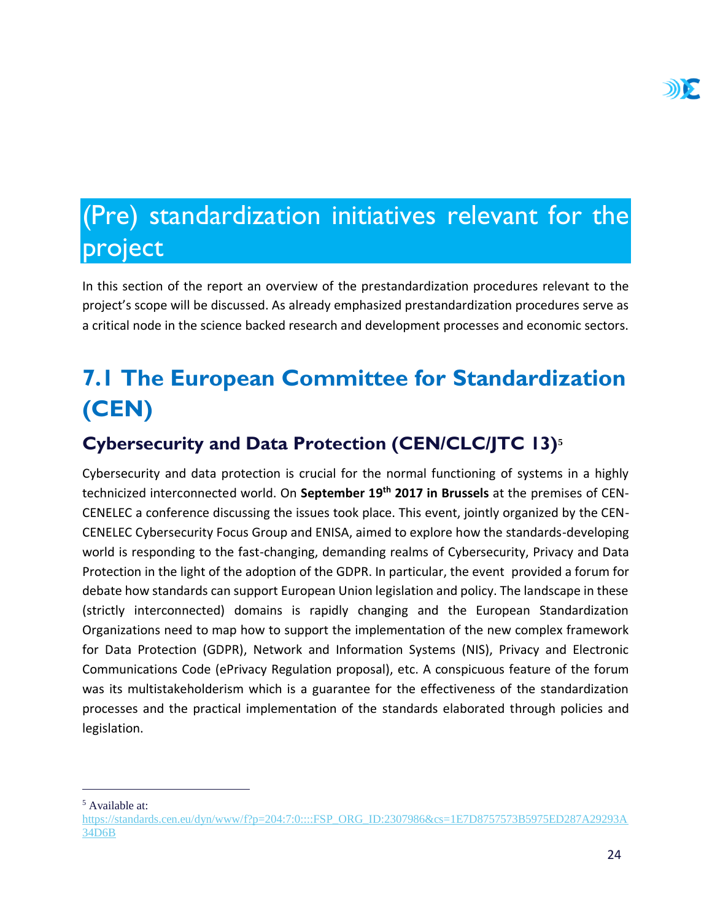## <span id="page-24-0"></span>(Pre) standardization initiatives relevant for the project

In this section of the report an overview of the prestandardization procedures relevant to the project's scope will be discussed. As already emphasized prestandardization procedures serve as a critical node in the science backed research and development processes and economic sectors.

## <span id="page-24-1"></span>**7.1 The European Committee for Standardization (CEN)**

### <span id="page-24-2"></span>**Cybersecurity and Data Protection (CEN/CLC/JTC 13)<sup>5</sup>**

Cybersecurity and data protection is crucial for the normal functioning of systems in a highly technicized interconnected world. On **September 19th 2017 in Brussels** at the premises of CEN-CENELEC a conference discussing the issues took place. This event, jointly organized by the CEN-CENELEC Cybersecurity Focus Group and ENISA, aimed to explore how the standards-developing world is responding to the fast-changing, demanding realms of Cybersecurity, Privacy and Data Protection in the light of the adoption of the GDPR. In particular, the event provided a forum for debate how standards can support European Union legislation and policy. The landscape in these (strictly interconnected) domains is rapidly changing and the European Standardization Organizations need to map how to support the implementation of the new complex framework for Data Protection (GDPR), Network and Information Systems (NIS), Privacy and Electronic Communications Code (ePrivacy Regulation proposal), etc. A conspicuous feature of the forum was its multistakeholderism which is a guarantee for the effectiveness of the standardization processes and the practical implementation of the standards elaborated through policies and legislation.

<sup>5</sup> Available at:

[https://standards.cen.eu/dyn/www/f?p=204:7:0::::FSP\\_ORG\\_ID:2307986&cs=1E7D8757573B5975ED287A29293A](https://standards.cen.eu/dyn/www/f?p=204:7:0::::FSP_ORG_ID:2307986&cs=1E7D8757573B5975ED287A29293A34D6B) [34D6B](https://standards.cen.eu/dyn/www/f?p=204:7:0::::FSP_ORG_ID:2307986&cs=1E7D8757573B5975ED287A29293A34D6B)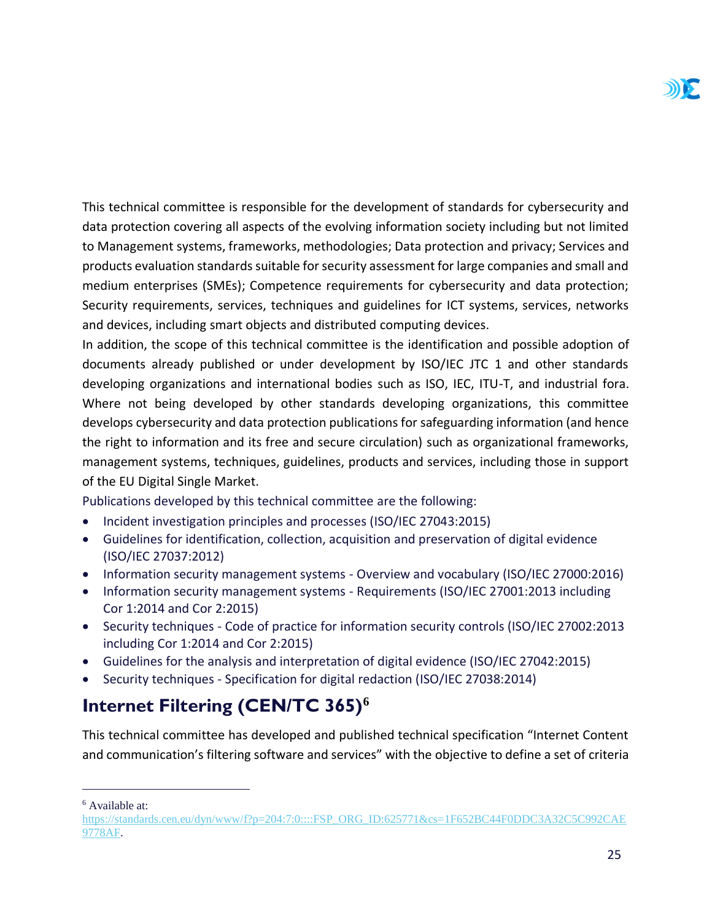This technical committee is responsible for the development of standards for cybersecurity and data protection covering all aspects of the evolving information society including but not limited to Management systems, frameworks, methodologies; Data protection and privacy; Services and products evaluation standards suitable for security assessment for large companies and small and medium enterprises (SMEs); Competence requirements for cybersecurity and data protection; Security requirements, services, techniques and guidelines for ICT systems, services, networks and devices, including smart objects and distributed computing devices.

In addition, the scope of this technical committee is the identification and possible adoption of documents already published or under development by ISO/IEC JTC 1 and other standards developing organizations and international bodies such as ISO, IEC, ITU-T, and industrial fora. Where not being developed by other standards developing organizations, this committee develops cybersecurity and data protection publications for safeguarding information (and hence the right to information and its free and secure circulation) such as organizational frameworks, management systems, techniques, guidelines, products and services, including those in support of the EU Digital Single Market.

Publications developed by this technical committee are the following:

- Incident investigation principles and processes (ISO/IEC 27043:2015)
- Guidelines for identification, collection, acquisition and preservation of digital evidence (ISO/IEC 27037:2012)
- Information security management systems Overview and vocabulary (ISO/IEC 27000:2016)
- Information security management systems Requirements (ISO/IEC 27001:2013 including Cor 1:2014 and Cor 2:2015)
- Security techniques Code of practice for information security controls (ISO/IEC 27002:2013 including Cor 1:2014 and Cor 2:2015)
- Guidelines for the analysis and interpretation of digital evidence (ISO/IEC 27042:2015)
- Security techniques Specification for digital redaction (ISO/IEC 27038:2014)

#### <span id="page-25-0"></span>**Internet Filtering (CEN/TC 365)<sup>6</sup>**

This technical committee has developed and published technical specification "Internet Content and communication's filtering software and services" with the objective to define a set of criteria

<sup>6</sup> Available at:

[https://standards.cen.eu/dyn/www/f?p=204:7:0::::FSP\\_ORG\\_ID:625771&cs=1F652BC44F0DDC3A32C5C992CAE](https://standards.cen.eu/dyn/www/f?p=204:7:0::::FSP_ORG_ID:625771&cs=1F652BC44F0DDC3A32C5C992CAE9778AF) [9778AF.](https://standards.cen.eu/dyn/www/f?p=204:7:0::::FSP_ORG_ID:625771&cs=1F652BC44F0DDC3A32C5C992CAE9778AF)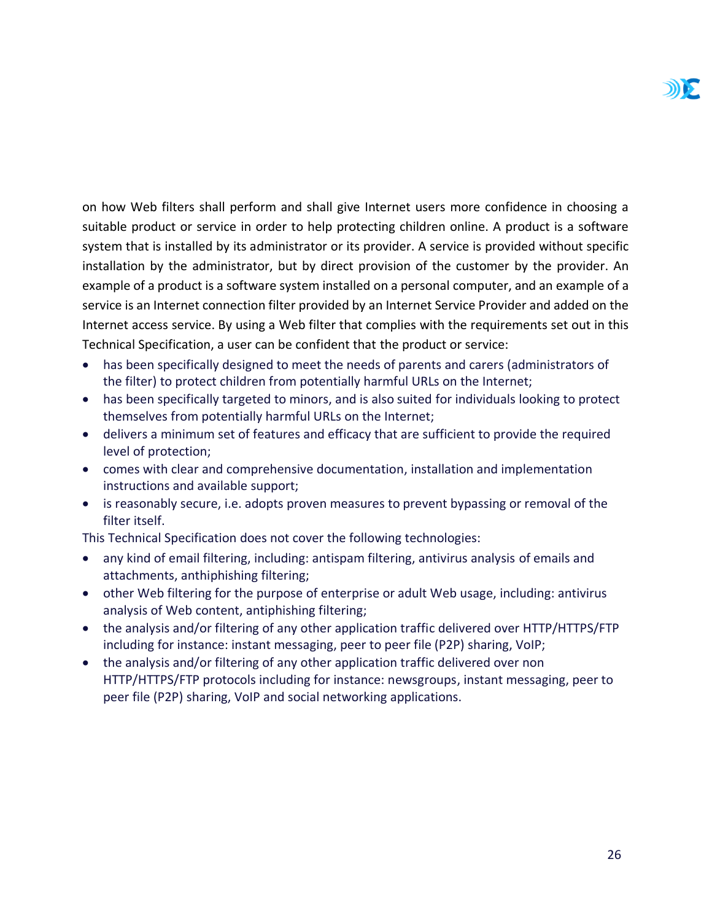on how Web filters shall perform and shall give Internet users more confidence in choosing a suitable product or service in order to help protecting children online. A product is a software system that is installed by its administrator or its provider. A service is provided without specific installation by the administrator, but by direct provision of the customer by the provider. An example of a product is a software system installed on a personal computer, and an example of a service is an Internet connection filter provided by an Internet Service Provider and added on the Internet access service. By using a Web filter that complies with the requirements set out in this Technical Specification, a user can be confident that the product or service:

- has been specifically designed to meet the needs of parents and carers (administrators of the filter) to protect children from potentially harmful URLs on the Internet;
- has been specifically targeted to minors, and is also suited for individuals looking to protect themselves from potentially harmful URLs on the Internet;
- delivers a minimum set of features and efficacy that are sufficient to provide the required level of protection;
- comes with clear and comprehensive documentation, installation and implementation instructions and available support;
- is reasonably secure, i.e. adopts proven measures to prevent bypassing or removal of the filter itself.

This Technical Specification does not cover the following technologies:

- any kind of email filtering, including: antispam filtering, antivirus analysis of emails and attachments, anthiphishing filtering;
- other Web filtering for the purpose of enterprise or adult Web usage, including: antivirus analysis of Web content, antiphishing filtering;
- the analysis and/or filtering of any other application traffic delivered over HTTP/HTTPS/FTP including for instance: instant messaging, peer to peer file (P2P) sharing, VoIP;
- the analysis and/or filtering of any other application traffic delivered over non HTTP/HTTPS/FTP protocols including for instance: newsgroups, instant messaging, peer to peer file (P2P) sharing, VoIP and social networking applications.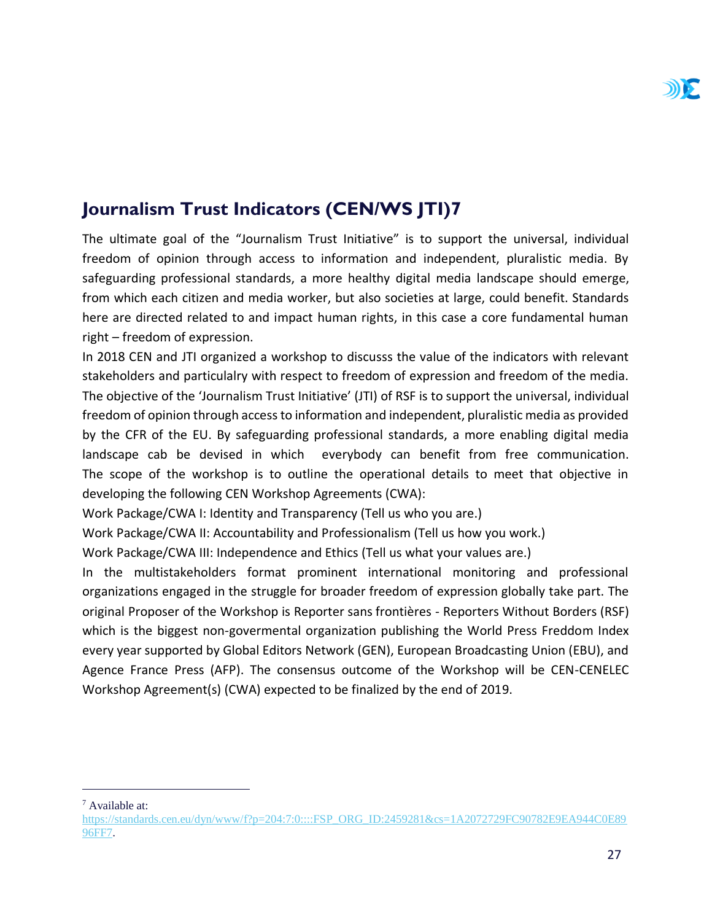#### <span id="page-27-0"></span>**Journalism Trust Indicators (CEN/WS JTI)7**

The ultimate goal of the "Journalism Trust Initiative" is to support the universal, individual freedom of opinion through access to information and independent, pluralistic media. By safeguarding professional standards, a more healthy digital media landscape should emerge, from which each citizen and media worker, but also societies at large, could benefit. Standards here are directed related to and impact human rights, in this case a core fundamental human right – freedom of expression.

In 2018 CEN and JTI organized a workshop to discusss the value of the indicators with relevant stakeholders and particulalry with respect to freedom of expression and freedom of the media. The objective of the 'Journalism Trust Initiative' (JTI) of RSF is to support the universal, individual freedom of opinion through access to information and independent, pluralistic media as provided by the CFR of the EU. By safeguarding professional standards, a more enabling digital media landscape cab be devised in which everybody can benefit from free communication. The scope of the workshop is to outline the operational details to meet that objective in developing the following CEN Workshop Agreements (CWA):

Work Package/CWA I: Identity and Transparency (Tell us who you are.)

Work Package/CWA II: Accountability and Professionalism (Tell us how you work.)

Work Package/CWA III: Independence and Ethics (Tell us what your values are.)

In the multistakeholders format prominent international monitoring and professional organizations engaged in the struggle for broader freedom of expression globally take part. The original Proposer of the Workshop is Reporter sans frontières - Reporters Without Borders (RSF) which is the biggest non-govermental organization publishing the World Press Freddom Index every year supported by Global Editors Network (GEN), European Broadcasting Union (EBU), and Agence France Press (AFP). The consensus outcome of the Workshop will be CEN-CENELEC Workshop Agreement(s) (CWA) expected to be finalized by the end of 2019.

<sup>7</sup> Available at:

[https://standards.cen.eu/dyn/www/f?p=204:7:0::::FSP\\_ORG\\_ID:2459281&cs=1A2072729FC90782E9EA944C0E89](https://standards.cen.eu/dyn/www/f?p=204:7:0::::FSP_ORG_ID:2459281&cs=1A2072729FC90782E9EA944C0E8996FF7) [96FF7.](https://standards.cen.eu/dyn/www/f?p=204:7:0::::FSP_ORG_ID:2459281&cs=1A2072729FC90782E9EA944C0E8996FF7)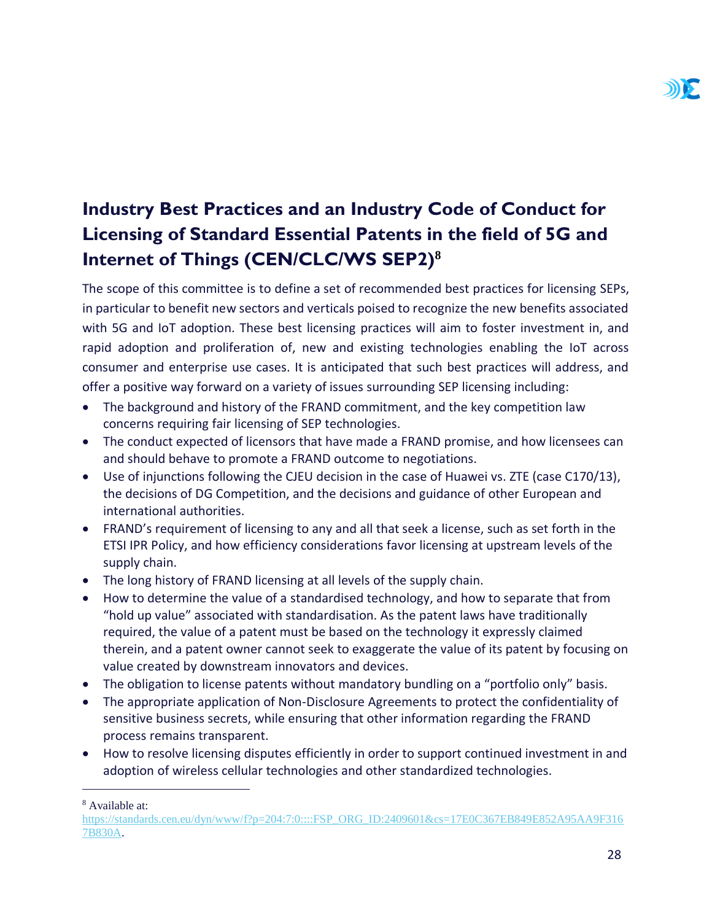### <span id="page-28-0"></span>**Industry Best Practices and an Industry Code of Conduct for Licensing of Standard Essential Patents in the field of 5G and Internet of Things (CEN/CLC/WS SEP2)<sup>8</sup>**

The scope of this committee is to define a set of recommended best practices for licensing SEPs, in particular to benefit new sectors and verticals poised to recognize the new benefits associated with 5G and IoT adoption. These best licensing practices will aim to foster investment in, and rapid adoption and proliferation of, new and existing technologies enabling the IoT across consumer and enterprise use cases. It is anticipated that such best practices will address, and offer a positive way forward on a variety of issues surrounding SEP licensing including:

- The background and history of the FRAND commitment, and the key competition law concerns requiring fair licensing of SEP technologies.
- The conduct expected of licensors that have made a FRAND promise, and how licensees can and should behave to promote a FRAND outcome to negotiations.
- Use of injunctions following the CJEU decision in the case of Huawei vs. ZTE (case C170/13), the decisions of DG Competition, and the decisions and guidance of other European and international authorities.
- FRAND's requirement of licensing to any and all that seek a license, such as set forth in the ETSI IPR Policy, and how efficiency considerations favor licensing at upstream levels of the supply chain.
- The long history of FRAND licensing at all levels of the supply chain.
- How to determine the value of a standardised technology, and how to separate that from "hold up value" associated with standardisation. As the patent laws have traditionally required, the value of a patent must be based on the technology it expressly claimed therein, and a patent owner cannot seek to exaggerate the value of its patent by focusing on value created by downstream innovators and devices.
- The obligation to license patents without mandatory bundling on a "portfolio only" basis.
- The appropriate application of Non-Disclosure Agreements to protect the confidentiality of sensitive business secrets, while ensuring that other information regarding the FRAND process remains transparent.
- How to resolve licensing disputes efficiently in order to support continued investment in and adoption of wireless cellular technologies and other standardized technologies.

<sup>8</sup> Available at:

[https://standards.cen.eu/dyn/www/f?p=204:7:0::::FSP\\_ORG\\_ID:2409601&cs=17E0C367EB849E852A95AA9F316](https://standards.cen.eu/dyn/www/f?p=204:7:0::::FSP_ORG_ID:2409601&cs=17E0C367EB849E852A95AA9F3167B830A) [7B830A.](https://standards.cen.eu/dyn/www/f?p=204:7:0::::FSP_ORG_ID:2409601&cs=17E0C367EB849E852A95AA9F3167B830A)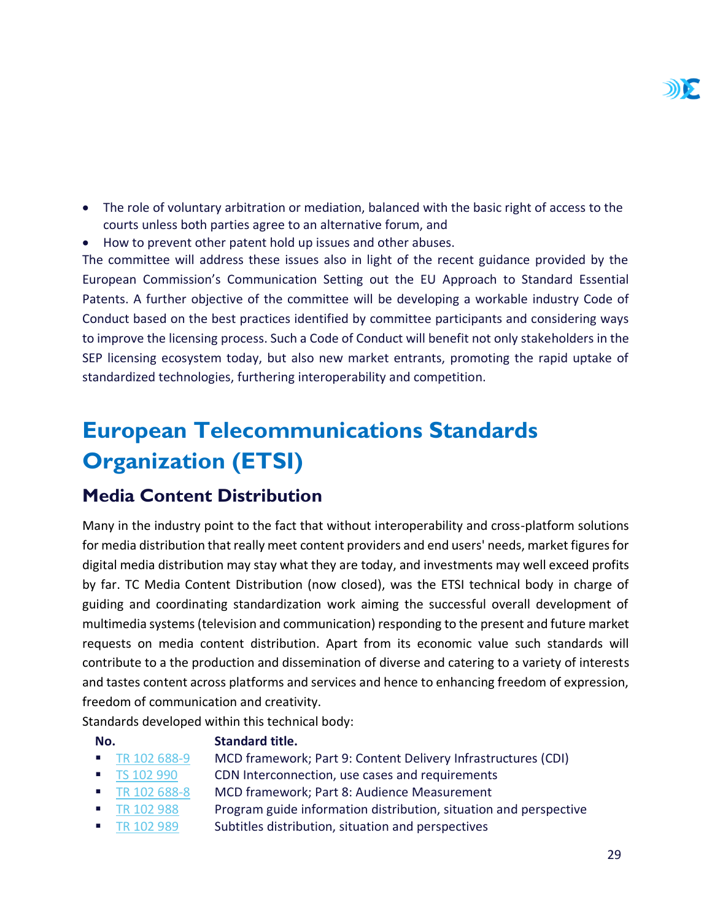- The role of voluntary arbitration or mediation, balanced with the basic right of access to the courts unless both parties agree to an alternative forum, and
- How to prevent other patent hold up issues and other abuses.

The committee will address these issues also in light of the recent guidance provided by the European Commission's Communication Setting out the EU Approach to Standard Essential Patents. A further objective of the committee will be developing a workable industry Code of Conduct based on the best practices identified by committee participants and considering ways to improve the licensing process. Such a Code of Conduct will benefit not only stakeholders in the SEP licensing ecosystem today, but also new market entrants, promoting the rapid uptake of standardized technologies, furthering interoperability and competition.

## <span id="page-29-0"></span>**European Telecommunications Standards Organization (ETSI)**

#### <span id="page-29-1"></span>**Media Content Distribution**

Many in the industry point to the fact that without interoperability and cross-platform solutions for media distribution that really meet content providers and end users' needs, market figures for digital media distribution may stay what they are today, and investments may well exceed profits by far. TC Media Content Distribution (now closed), was the ETSI technical body in charge of guiding and coordinating standardization work aiming the successful overall development of multimedia systems (television and communication) responding to the present and future market requests on media content distribution. Apart from its economic value such standards will contribute to a the production and dissemination of diverse and catering to a variety of interests and tastes content across platforms and services and hence to enhancing freedom of expression, freedom of communication and creativity.

Standards developed within this technical body:

#### **No. Standard title.**

- [TR 102 688-9](http://www.etsi.org/deliver/etsi_tr/102600_102699/10268809/01.01.01_60/tr_10268809v010101p.pdf) MCD framework; Part 9: Content Delivery Infrastructures (CDI)
- [TS 102 990](http://www.etsi.org/deliver/etsi_ts/102900_102999/102990/01.01.01_60/ts_102990v010101p.pdf) CDN Interconnection, use cases and requirements
- [TR 102 688-8](http://www.etsi.org/deliver/etsi_tr/102600_102699/10268808/01.01.01_60/tr_10268808v010101p.pdf) MCD framework; Part 8: Audience Measurement
	- [TR 102 988](http://www.etsi.org/deliver/etsi_tr/102900_102999/102988/01.01.01_60/tr_102988v010101p.pdf) Program guide information distribution, situation and perspective
- [TR 102 989](http://www.etsi.org/deliver/etsi_tr/102900_102999/102989/01.01.01_60/tr_102989v010101p.pdf) Subtitles distribution, situation and perspectives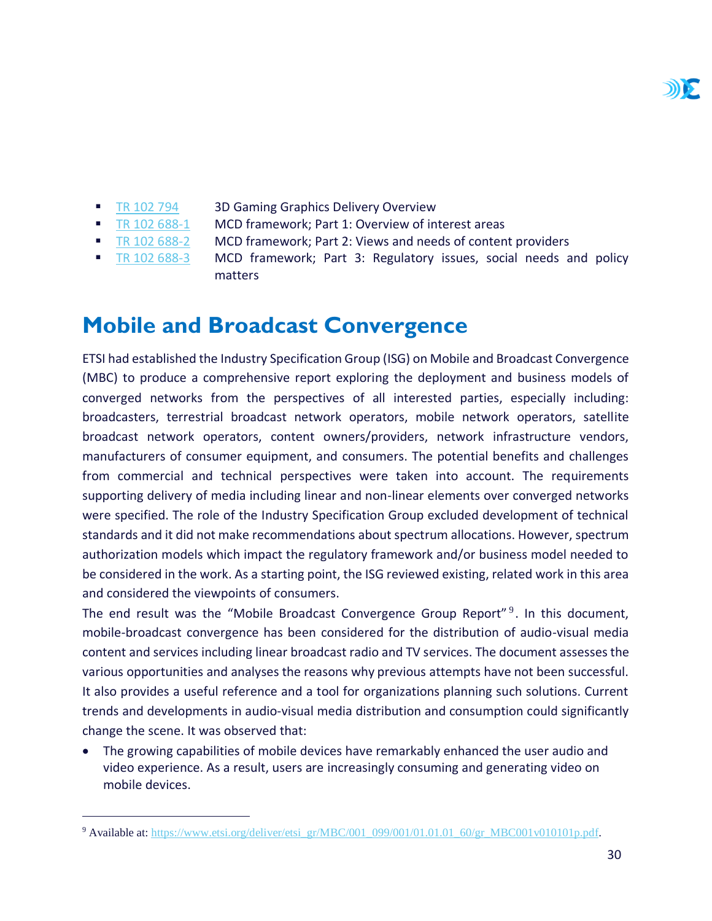- **[TR 102 794](http://www.etsi.org/deliver/etsi_tr/102700_102799/102794/01.01.01_60/tr_102794v010101p.pdf) 3D Gaming Graphics Delivery Overview**
- [TR 102 688-1](http://www.etsi.org/deliver/etsi_tr/102600_102699/10268801/01.01.01_60/tr_10268801v010101p.pdf) MCD framework; Part 1: Overview of interest areas
- [TR 102 688-2](http://www.etsi.org/deliver/etsi_tr/102600_102699/10268802/01.01.01_60/tr_10268802v010101p.pdf) MCD framework; Part 2: Views and needs of content providers
- [TR 102 688-3](http://www.etsi.org/deliver/etsi_tr/102600_102699/10268803/01.01.01_60/tr_10268803v010101p.pdf) MCD framework; Part 3: Regulatory issues, social needs and policy matters

### <span id="page-30-0"></span>**Mobile and Broadcast Convergence**

ETSI had established the Industry Specification Group (ISG) on Mobile and Broadcast Convergence (MBC) to produce a comprehensive report exploring the deployment and business models of converged networks from the perspectives of all interested parties, especially including: broadcasters, terrestrial broadcast network operators, mobile network operators, satellite broadcast network operators, content owners/providers, network infrastructure vendors, manufacturers of consumer equipment, and consumers. The potential benefits and challenges from commercial and technical perspectives were taken into account. The requirements supporting delivery of media including linear and non-linear elements over converged networks were specified. The role of the Industry Specification Group excluded development of technical standards and it did not make recommendations about spectrum allocations. However, spectrum authorization models which impact the regulatory framework and/or business model needed to be considered in the work. As a starting point, the ISG reviewed existing, related work in this area and considered the viewpoints of consumers.

The end result was the "Mobile Broadcast Convergence Group Report"<sup>9</sup>. In this document, mobile-broadcast convergence has been considered for the distribution of audio-visual media content and services including linear broadcast radio and TV services. The document assesses the various opportunities and analyses the reasons why previous attempts have not been successful. It also provides a useful reference and a tool for organizations planning such solutions. Current trends and developments in audio-visual media distribution and consumption could significantly change the scene. It was observed that:

• The growing capabilities of mobile devices have remarkably enhanced the user audio and video experience. As a result, users are increasingly consuming and generating video on mobile devices.

<sup>&</sup>lt;sup>9</sup> Available at: [https://www.etsi.org/deliver/etsi\\_gr/MBC/001\\_099/001/01.01.01\\_60/gr\\_MBC001v010101p.pdf.](https://www.etsi.org/deliver/etsi_gr/MBC/001_099/001/01.01.01_60/gr_MBC001v010101p.pdf)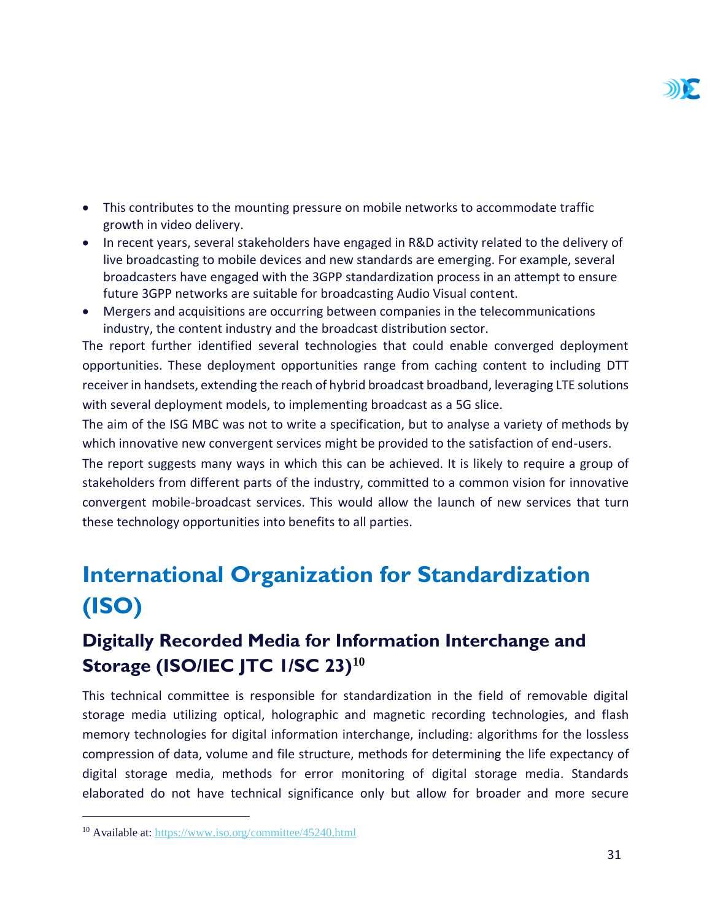

- This contributes to the mounting pressure on mobile networks to accommodate traffic growth in video delivery.
- In recent years, several stakeholders have engaged in R&D activity related to the delivery of live broadcasting to mobile devices and new standards are emerging. For example, several broadcasters have engaged with the 3GPP standardization process in an attempt to ensure future 3GPP networks are suitable for broadcasting Audio Visual content.
- Mergers and acquisitions are occurring between companies in the telecommunications industry, the content industry and the broadcast distribution sector.

The report further identified several technologies that could enable converged deployment opportunities. These deployment opportunities range from caching content to including DTT receiver in handsets, extending the reach of hybrid broadcast broadband, leveraging LTE solutions with several deployment models, to implementing broadcast as a 5G slice.

The aim of the ISG MBC was not to write a specification, but to analyse a variety of methods by which innovative new convergent services might be provided to the satisfaction of end-users.

The report suggests many ways in which this can be achieved. It is likely to require a group of stakeholders from different parts of the industry, committed to a common vision for innovative convergent mobile-broadcast services. This would allow the launch of new services that turn these technology opportunities into benefits to all parties.

## <span id="page-31-0"></span>**International Organization for Standardization (ISO)**

### <span id="page-31-1"></span>**Digitally Recorded Media for Information Interchange and Storage (ISO/IEC JTC 1/SC 23)<sup>10</sup>**

This technical committee is responsible for standardization in the field of removable digital storage media utilizing optical, holographic and magnetic recording technologies, and flash memory technologies for digital information interchange, including: algorithms for the lossless compression of data, volume and file structure, methods for determining the life expectancy of digital storage media, methods for error monitoring of digital storage media. Standards elaborated do not have technical significance only but allow for broader and more secure

<sup>10</sup> Available at:<https://www.iso.org/committee/45240.html>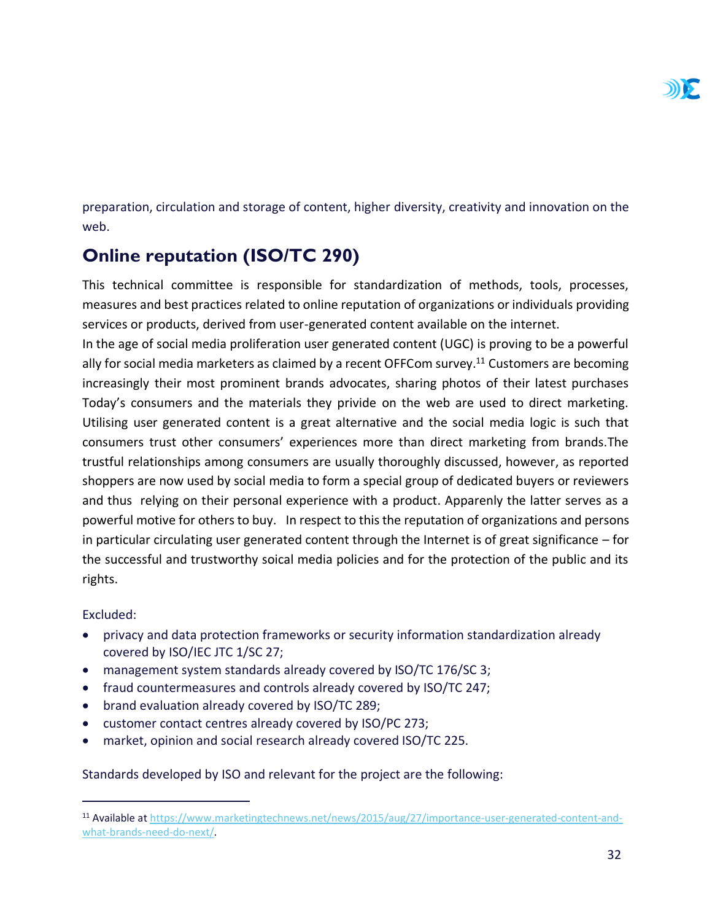preparation, circulation and storage of content, higher diversity, creativity and innovation on the web.

#### <span id="page-32-0"></span>**Online reputation (ISO/TC 290)**

This technical committee is responsible for standardization of methods, tools, processes, measures and best practices related to online reputation of organizations or individuals providing services or products, derived from user-generated content available on the internet.

In the age of social media proliferation user generated content (UGC) is proving to be a powerful ally for social media marketers as claimed by a recent OFFCom survey.<sup>11</sup> Customers are becoming increasingly their most prominent brands advocates, sharing photos of their latest purchases Today's consumers and the materials they privide on the web are used to direct marketing. Utilising user generated content is a great alternative and the social media logic is such that consumers trust other consumers' experiences more than direct marketing from brands.The trustful relationships among consumers are usually thoroughly discussed, however, as reported shoppers are now used by social media to form a special group of dedicated buyers or reviewers and thus relying on their personal experience with a product. Apparenly the latter serves as a powerful motive for others to buy. In respect to this the reputation of organizations and persons in particular circulating user generated content through the Internet is of great significance – for the successful and trustworthy soical media policies and for the protection of the public and its rights.

Excluded:

 $\overline{a}$ 

- privacy and data protection frameworks or security information standardization already covered by ISO/IEC JTC 1/SC 27;
- management system standards already covered by ISO/TC 176/SC 3;
- fraud countermeasures and controls already covered by ISO/TC 247;
- brand evaluation already covered by ISO/TC 289;
- customer contact centres already covered by ISO/PC 273;
- market, opinion and social research already covered ISO/TC 225.

#### Standards developed by ISO and relevant for the project are the following:

<sup>11</sup> Available at [https://www.marketingtechnews.net/news/2015/aug/27/importance-user-generated-content-and](https://www.marketingtechnews.net/news/2015/aug/27/importance-user-generated-content-and-what-brands-need-do-next/)[what-brands-need-do-next/.](https://www.marketingtechnews.net/news/2015/aug/27/importance-user-generated-content-and-what-brands-need-do-next/)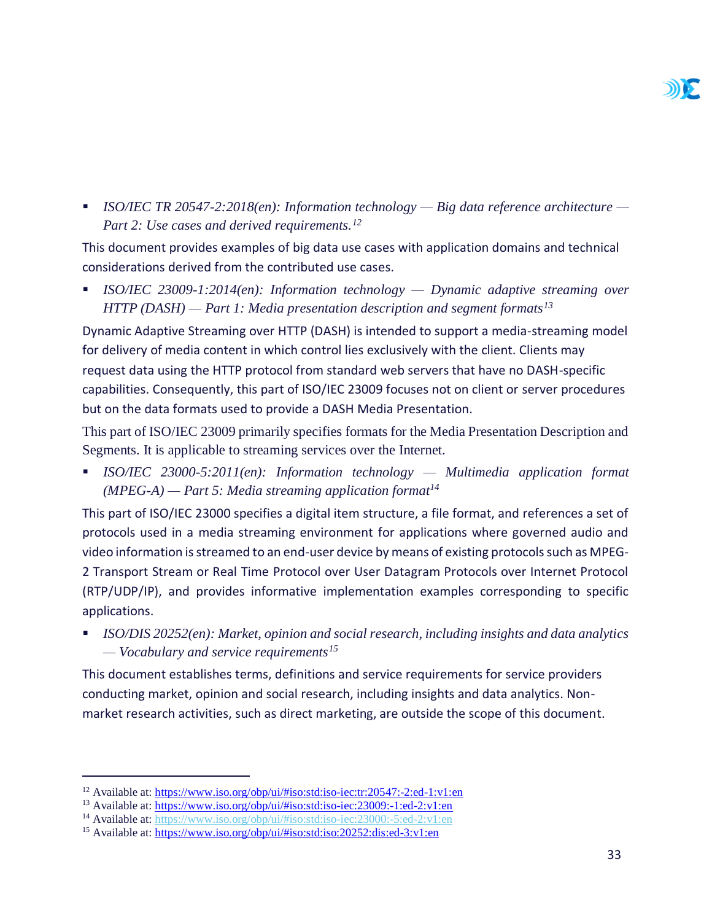

▪ *ISO/IEC TR 20547-2:2018(en): Information technology — Big data reference architecture — Part 2: Use cases and derived requirements.<sup>12</sup>*

This document provides examples of big data use cases with application domains and technical considerations derived from the contributed use cases.

▪ *ISO/IEC 23009-1:2014(en): Information technology — Dynamic adaptive streaming over HTTP (DASH) — Part 1: Media presentation description and segment formats<sup>13</sup>*

Dynamic Adaptive Streaming over HTTP (DASH) is intended to support a media-streaming model for delivery of media content in which control lies exclusively with the client. Clients may request data using the HTTP protocol from standard web servers that have no DASH-specific capabilities. Consequently, this part of ISO/IEC 23009 focuses not on client or server procedures but on the data formats used to provide a DASH Media Presentation.

This part of ISO/IEC 23009 primarily specifies formats for the Media Presentation Description and Segments. It is applicable to streaming services over the Internet.

▪ *ISO/IEC 23000-5:2011(en): Information technology — Multimedia application format (MPEG-A) — Part 5: Media streaming application format<sup>14</sup>*

This part of ISO/IEC 23000 specifies a digital item structure, a file format, and references a set of protocols used in a media streaming environment for applications where governed audio and video information is streamed to an end-user device by means of existing protocols such as MPEG-2 Transport Stream or Real Time Protocol over User Datagram Protocols over Internet Protocol (RTP/UDP/IP), and provides informative implementation examples corresponding to specific applications.

■ *ISO/DIS 20252(en): Market, opinion and social research, including insights and data analytics — Vocabulary and service requirements<sup>15</sup>*

This document establishes terms, definitions and service requirements for service providers conducting market, opinion and social research, including insights and data analytics. Nonmarket research activities, such as direct marketing, are outside the scope of this document.

<sup>&</sup>lt;sup>12</sup> Available at:<https://www.iso.org/obp/ui/#iso:std:iso-iec:tr:20547:-2:ed-1:v1:en>

<sup>&</sup>lt;sup>13</sup> Available at:<https://www.iso.org/obp/ui/#iso:std:iso-iec:23009:-1:ed-2:v1:en>

<sup>14</sup> Available at:<https://www.iso.org/obp/ui/#iso:std:iso-iec:23000:-5:ed-2:v1:en>

<sup>15</sup> Available at:<https://www.iso.org/obp/ui/#iso:std:iso:20252:dis:ed-3:v1:en>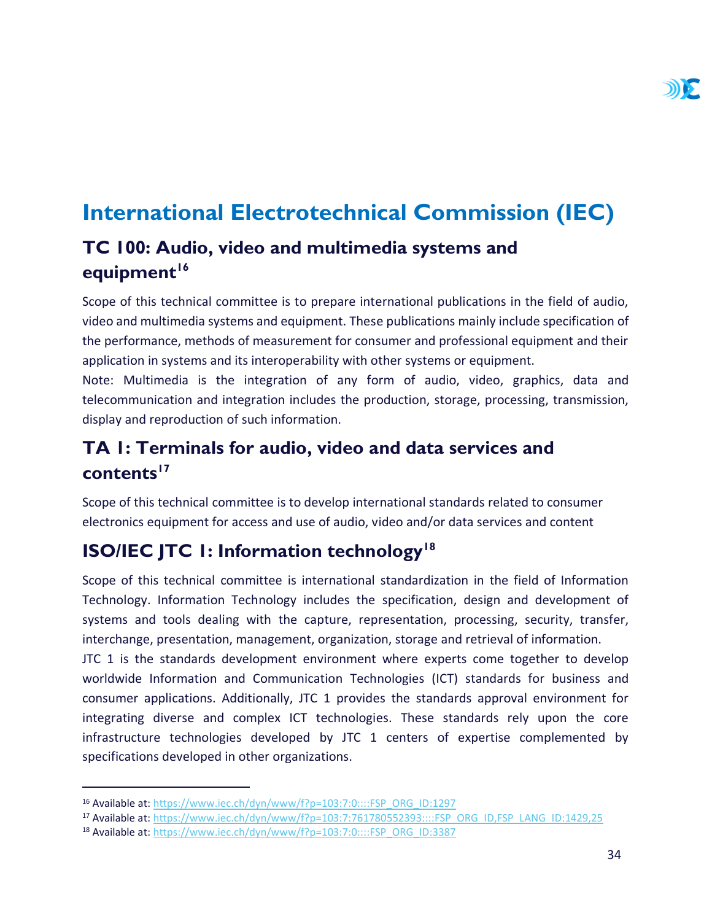## <span id="page-34-0"></span>**International Electrotechnical Commission (IEC)**

#### <span id="page-34-1"></span>**TC 100: Audio, video and multimedia systems and equipment<sup>16</sup>**

Scope of this technical committee is to prepare international publications in the field of audio, video and multimedia systems and equipment. These publications mainly include specification of the performance, methods of measurement for consumer and professional equipment and their application in systems and its interoperability with other systems or equipment.

Note: Multimedia is the integration of any form of audio, video, graphics, data and telecommunication and integration includes the production, storage, processing, transmission, display and reproduction of such information.

#### <span id="page-34-2"></span>**TA 1: Terminals for audio, video and data services and contents<sup>17</sup>**

Scope of this technical committee is to develop international standards related to consumer electronics equipment for access and use of audio, video and/or data services and content

#### <span id="page-34-3"></span>**ISO/IEC JTC 1: Information technology<sup>18</sup>**

Scope of this technical committee is international standardization in the field of Information Technology. Information Technology includes the specification, design and development of systems and tools dealing with the capture, representation, processing, security, transfer, interchange, presentation, management, organization, storage and retrieval of information.

JTC 1 is the standards development environment where experts come together to develop worldwide Information and Communication Technologies (ICT) standards for business and consumer applications. Additionally, JTC 1 provides the standards approval environment for integrating diverse and complex ICT technologies. These standards rely upon the core infrastructure technologies developed by JTC 1 centers of expertise complemented by specifications developed in other organizations.

<sup>16</sup> Available at: [https://www.iec.ch/dyn/www/f?p=103:7:0::::FSP\\_ORG\\_ID:1297](https://www.iec.ch/dyn/www/f?p=103:7:0::::FSP_ORG_ID:1297)

<sup>17</sup> Available at: [https://www.iec.ch/dyn/www/f?p=103:7:761780552393::::FSP\\_ORG\\_ID,FSP\\_LANG\\_ID:1429,25](https://www.iec.ch/dyn/www/f?p=103:7:761780552393::::FSP_ORG_ID,FSP_LANG_ID:1429,25)

<sup>18</sup> Available at: [https://www.iec.ch/dyn/www/f?p=103:7:0::::FSP\\_ORG\\_ID:3387](https://www.iec.ch/dyn/www/f?p=103:7:0::::FSP_ORG_ID:3387)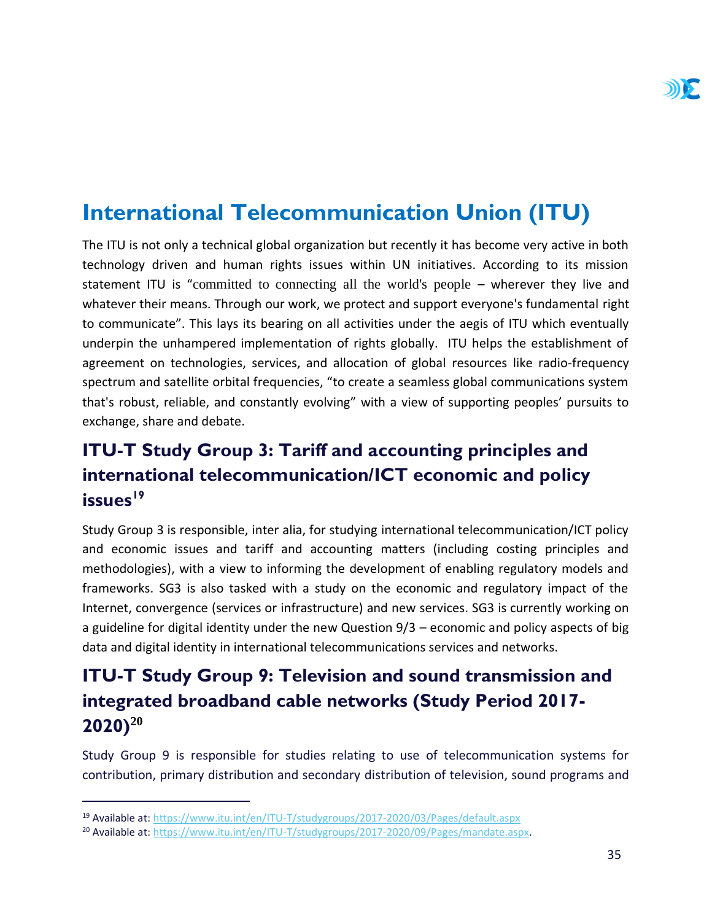## <span id="page-35-0"></span>**International Telecommunication Union (ITU)**

The ITU is not only a technical global organization but recently it has become very active in both technology driven and human rights issues within UN initiatives. According to its mission statement ITU is "committed to connecting all the world's people – wherever they live and whatever their means. Through our work, we protect and support everyone's fundamental right to communicate". This lays its bearing on all activities under the aegis of ITU which eventually underpin the unhampered implementation of rights globally. ITU helps the establishment of agreement on technologies, services, and allocation of global resources like radio-frequency spectrum and satellite orbital frequencies, "to create a seamless global communications system that's robust, reliable, and constantly evolving" with a view of supporting peoples' pursuits to exchange, share and debate.

### <span id="page-35-1"></span>**ITU-T Study Group 3: Tariff and accounting principles and international telecommunication/ICT economic and policy issues<sup>19</sup>**

Study Group 3 is responsible, inter alia, for studying international telecommunication/ICT policy and economic issues and tariff and accounting matters (including costing principles and methodologies), with a view to informing the development of enabling regulatory models and frameworks. SG3 is also tasked with a study on the economic and regulatory impact of the Internet, convergence (services or infrastructure) and new services. SG3 is currently working on a guideline for digital identity under the new Question 9/3 – economic and policy aspects of big data and digital identity in international telecommunications services and networks.

### <span id="page-35-2"></span>**ITU-T Study Group 9: Television and sound transmission and integrated broadband cable networks (Study Period 2017- 2020)<sup>20</sup>**

Study Group 9 is responsible for studies relating to use of telecommunication systems for contribution, primary distribution and secondary distribution of television, sound programs and

<sup>19</sup> Available at:<https://www.itu.int/en/ITU-T/studygroups/2017-2020/03/Pages/default.aspx>

<sup>20</sup> Available at: [https://www.itu.int/en/ITU-T/studygroups/2017-2020/09/Pages/mandate.aspx.](https://www.itu.int/en/ITU-T/studygroups/2017-2020/09/Pages/mandate.aspx)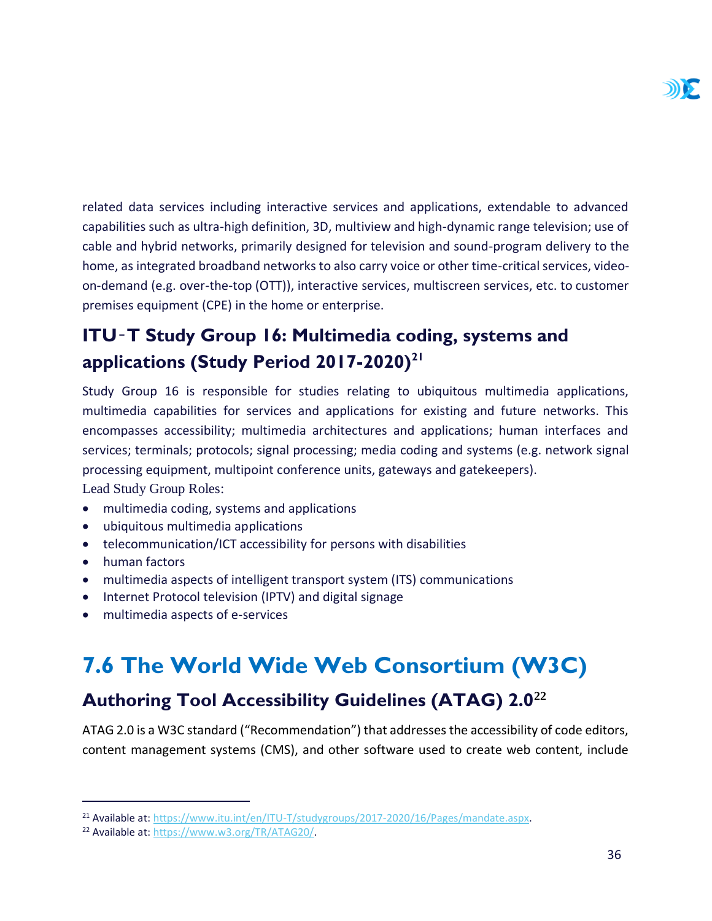related data services including interactive services and applications, extendable to advanced capabilities such as ultra-high definition, 3D, multiview and high-dynamic range television; use of cable and hybrid networks, primarily designed for television and sound-program delivery to the home, as integrated broadband networks to also carry voice or other time-critical services, videoon-demand (e.g. over-the-top (OTT)), interactive services, multiscreen services, etc. to customer premises equipment (CPE) in the home or enterprise.

### <span id="page-36-0"></span>**ITU**‑**T Study Group 16: Multimedia coding, systems and applications (Study Period 2017-2020)<sup>21</sup>**

Study Group 16 is responsible for studies relating to ubiquitous multimedia applications, multimedia capabilities for services and applications for existing and future networks. This encompasses accessibility; multimedia architectures and applications; human interfaces and services; terminals; protocols; signal processing; media coding and systems (e.g. network signal processing equipment, multipoint conference units, gateways and gatekeepers).

Lead Study Group Roles:

- multimedia coding, systems and applications
- ubiquitous multimedia applications
- telecommunication/ICT accessibility for persons with disabilities
- human factors

 $\overline{a}$ 

- multimedia aspects of intelligent transport system (ITS) communications
- Internet Protocol television (IPTV) and digital signage
- <span id="page-36-1"></span>• multimedia aspects of e-services

## **7.6 The World Wide Web Consortium (W3C)**

#### <span id="page-36-2"></span>**Authoring Tool Accessibility Guidelines (ATAG) 2.0<sup>22</sup>**

ATAG 2.0 is a W3C standard ("Recommendation") that addresses the accessibility of code editors, content management systems (CMS), and other software used to create web content, include

<sup>21</sup> Available at: [https://www.itu.int/en/ITU-T/studygroups/2017-2020/16/Pages/mandate.aspx.](https://www.itu.int/en/ITU-T/studygroups/2017-2020/16/Pages/mandate.aspx) 

<sup>22</sup> Available at: [https://www.w3.org/TR/ATAG20/.](https://www.w3.org/TR/ATAG20/)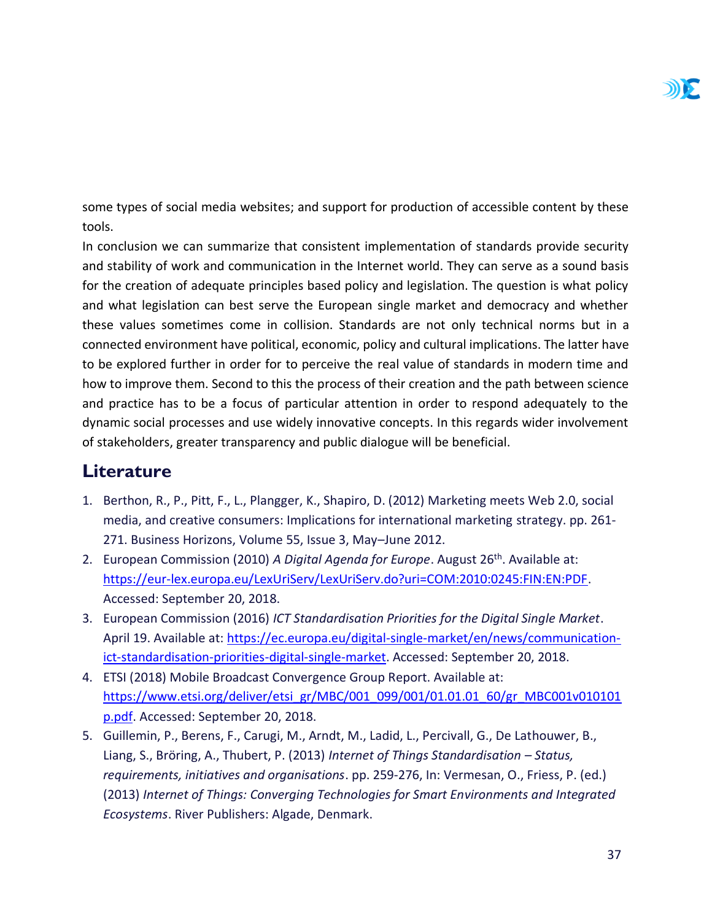

some types of social media websites; and support for production of accessible content by these tools.

In conclusion we can summarize that consistent implementation of standards provide security and stability of work and communication in the Internet world. They can serve as a sound basis for the creation of adequate principles based policy and legislation. The question is what policy and what legislation can best serve the European single market and democracy and whether these values sometimes come in collision. Standards are not only technical norms but in a connected environment have political, economic, policy and cultural implications. The latter have to be explored further in order for to perceive the real value of standards in modern time and how to improve them. Second to this the process of their creation and the path between science and practice has to be a focus of particular attention in order to respond adequately to the dynamic social processes and use widely innovative concepts. In this regards wider involvement of stakeholders, greater transparency and public dialogue will be beneficial.

#### <span id="page-37-0"></span>**Literature**

- 1. Berthon, R., P., Pitt, F., L., Plangger, K., Shapiro, D. (2012) Marketing meets Web 2.0, social media, and creative consumers: Implications for international marketing strategy. pp. 261- 271. Business Horizons, Volume 55, Issue 3, May–June 2012.
- 2. European Commission (2010) *A Digital Agenda for Europe*. August 26th. Available at: [https://eur-lex.europa.eu/LexUriServ/LexUriServ.do?uri=COM:2010:0245:FIN:EN:PDF.](https://eur-lex.europa.eu/LexUriServ/LexUriServ.do?uri=COM:2010:0245:FIN:EN:PDF) Accessed: September 20, 2018.
- 3. European Commission (2016) *ICT Standardisation Priorities for the Digital Single Market*. April 19. Available at: [https://ec.europa.eu/digital-single-market/en/news/communication](https://ec.europa.eu/digital-single-market/en/news/communication-ict-standardisation-priorities-digital-single-market)[ict-standardisation-priorities-digital-single-market.](https://ec.europa.eu/digital-single-market/en/news/communication-ict-standardisation-priorities-digital-single-market) Accessed: September 20, 2018.
- 4. ETSI (2018) Mobile Broadcast Convergence Group Report. Available at: [https://www.etsi.org/deliver/etsi\\_gr/MBC/001\\_099/001/01.01.01\\_60/gr\\_MBC001v010101](https://www.etsi.org/deliver/etsi_gr/MBC/001_099/001/01.01.01_60/gr_MBC001v010101p.pdf) [p.pdf.](https://www.etsi.org/deliver/etsi_gr/MBC/001_099/001/01.01.01_60/gr_MBC001v010101p.pdf) Accessed: September 20, 2018.
- 5. Guillemin, P., Berens, F., Carugi, M., Arndt, M., Ladid, L., Percivall, G., De Lathouwer, B., Liang, S., Bröring, A., Thubert, P. (2013) *Internet of Things Standardisation – Status, requirements, initiatives and organisations*. pp. 259-276, In: Vermesan, O., Friess, P. (ed.) (2013) *Internet of Things: Converging Technologies for Smart Environments and Integrated Ecosystems*. River Publishers: Algade, Denmark.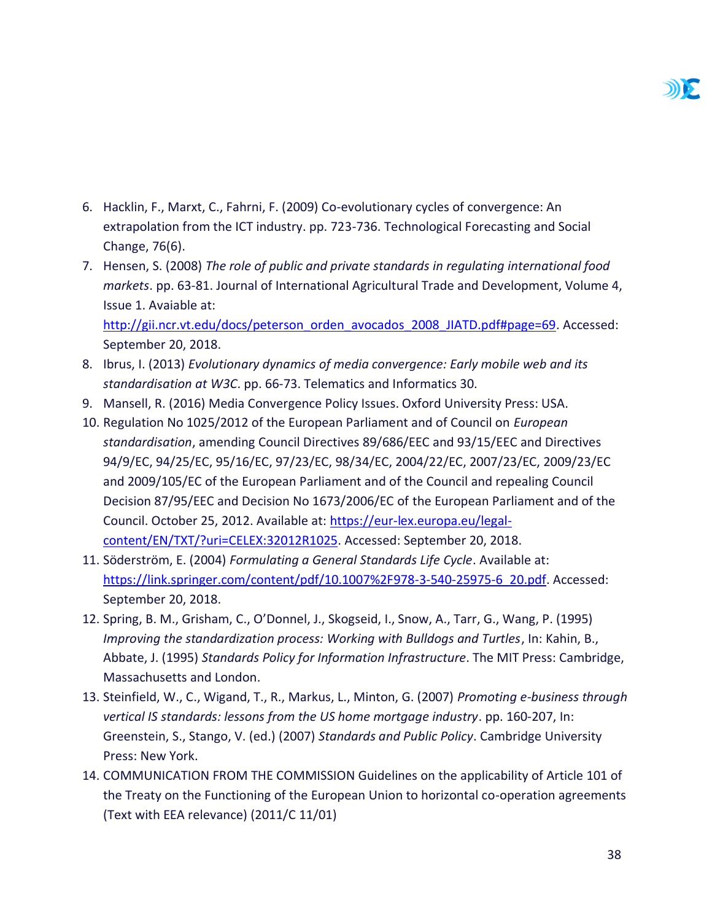- 6. Hacklin, F., Marxt, C., Fahrni, F. (2009) Co-evolutionary cycles of convergence: An extrapolation from the ICT industry. pp. 723-736. Technological Forecasting and Social Change, 76(6).
- 7. Hensen, S. (2008) *The role of public and private standards in regulating international food markets*. pp. 63-81. Journal of International Agricultural Trade and Development, Volume 4, Issue 1. Avaiable at: [http://gii.ncr.vt.edu/docs/peterson\\_orden\\_avocados\\_2008\\_JIATD.pdf#page=69.](http://gii.ncr.vt.edu/docs/peterson_orden_avocados_2008_JIATD.pdf#page=69) Accessed:
- 8. Ibrus, I. (2013) *Evolutionary dynamics of media convergence: Early mobile web and its standardisation at W3C*. pp. 66-73. Telematics and Informatics 30.
- 9. Mansell, R. (2016) Media Convergence Policy Issues. Oxford University Press: USA.

September 20, 2018.

- 10. Regulation No 1025/2012 of the European Parliament and of Council on *European standardisation*, amending Council Directives 89/686/EEC and 93/15/EEC and Directives 94/9/EC, 94/25/EC, 95/16/EC, 97/23/EC, 98/34/EC, 2004/22/EC, 2007/23/EC, 2009/23/EC and 2009/105/EC of the European Parliament and of the Council and repealing Council Decision 87/95/EEC and Decision No 1673/2006/EC of the European Parliament and of the Council. October 25, 2012. Available at: [https://eur-lex.europa.eu/legal](https://eur-lex.europa.eu/legal-content/EN/TXT/?uri=CELEX:32012R1025)[content/EN/TXT/?uri=CELEX:32012R1025.](https://eur-lex.europa.eu/legal-content/EN/TXT/?uri=CELEX:32012R1025) Accessed: September 20, 2018.
- 11. Söderström, E. (2004) *Formulating a General Standards Life Cycle*. Available at: [https://link.springer.com/content/pdf/10.1007%2F978-3-540-25975-6\\_20.pdf.](https://link.springer.com/content/pdf/10.1007%2F978-3-540-25975-6_20.pdf) Accessed: September 20, 2018.
- 12. Spring, B. M., Grisham, C., O'Donnel, J., Skogseid, I., Snow, A., Tarr, G., Wang, P. (1995) *Improving the standardization process: Working with Bulldogs and Turtles*, In: Kahin, B., Abbate, J. (1995) *Standards Policy for Information Infrastructure*. The MIT Press: Cambridge, Massachusetts and London.
- 13. Steinfield, W., C., Wigand, T., R., Markus, L., Minton, G. (2007) *Promoting e-business through vertical IS standards: lessons from the US home mortgage industry*. pp. 160-207, In: Greenstein, S., Stango, V. (ed.) (2007) *Standards and Public Policy*. Cambridge University Press: New York.
- 14. COMMUNICATION FROM THE COMMISSION Guidelines on the applicability of Article 101 of the Treaty on the Functioning of the European Union to horizontal co-operation agreements (Text with EEA relevance) (2011/C 11/01)